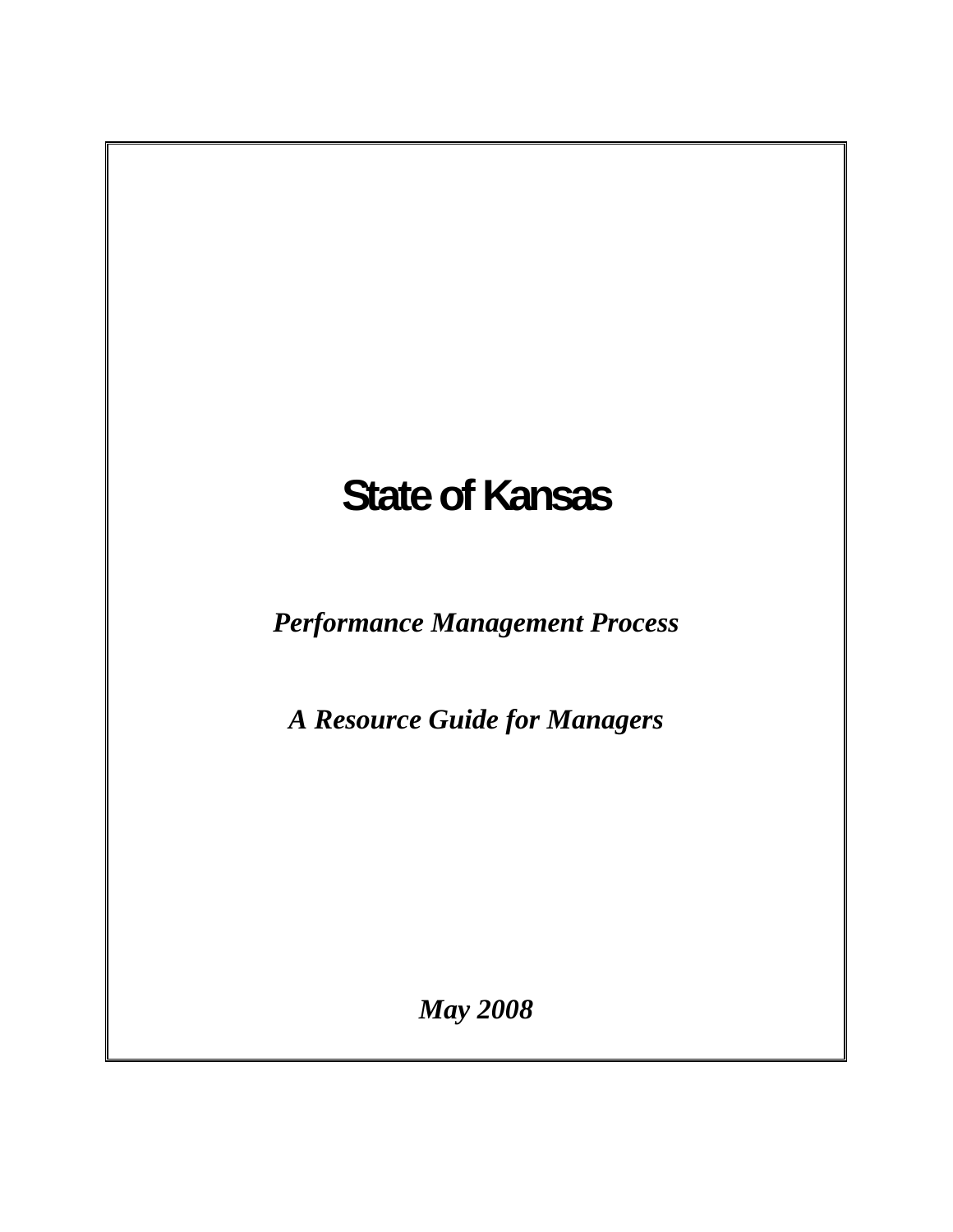# **State of Kansas**

*Performance Management Process* 

*A Resource Guide for Managers* 

*May 2008*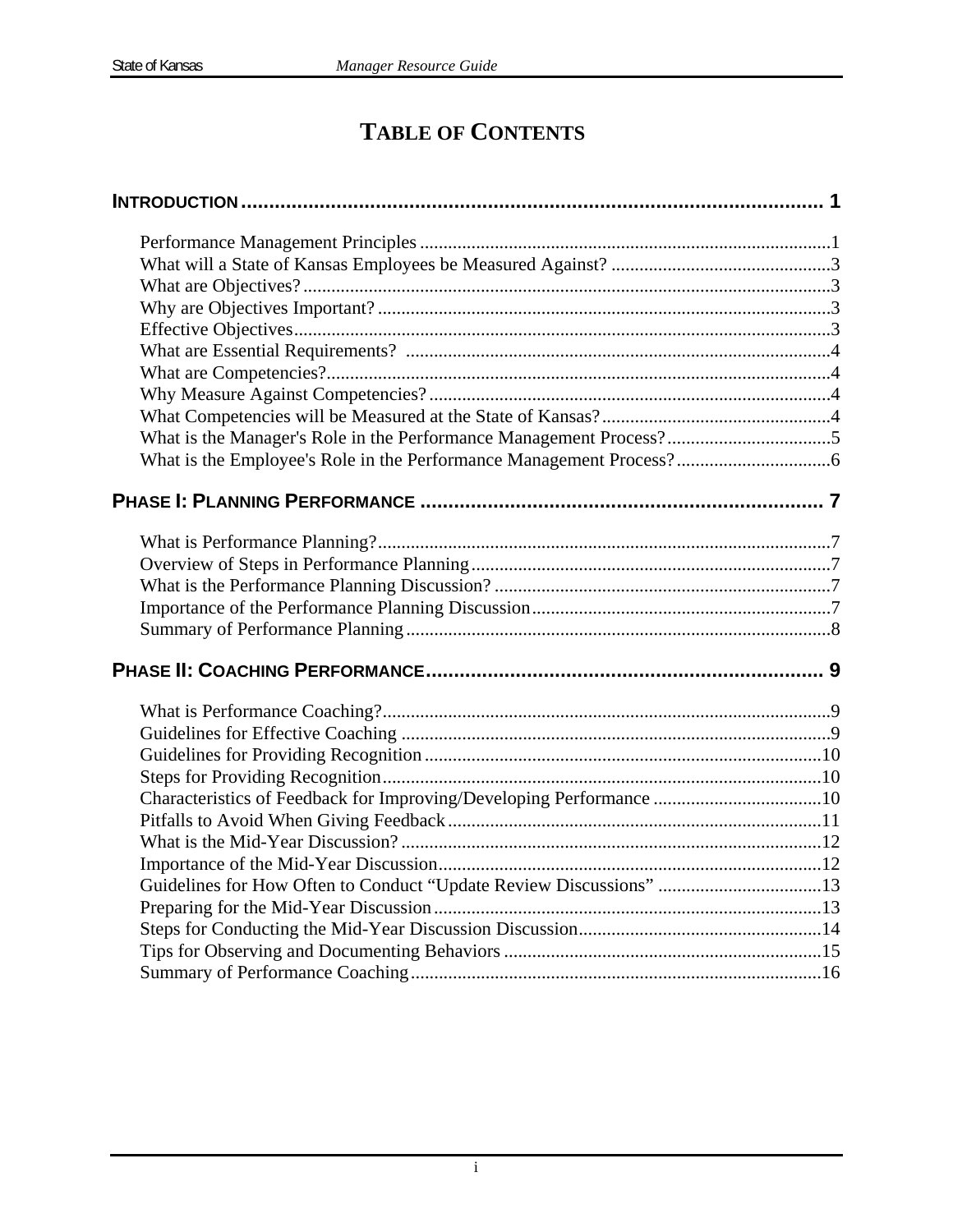# **TABLE OF CONTENTS**

| Characteristics of Feedback for Improving/Developing Performance 10 |  |
|---------------------------------------------------------------------|--|
|                                                                     |  |
|                                                                     |  |
|                                                                     |  |
| Guidelines for How Often to Conduct "Update Review Discussions" 13  |  |
|                                                                     |  |
|                                                                     |  |
|                                                                     |  |
|                                                                     |  |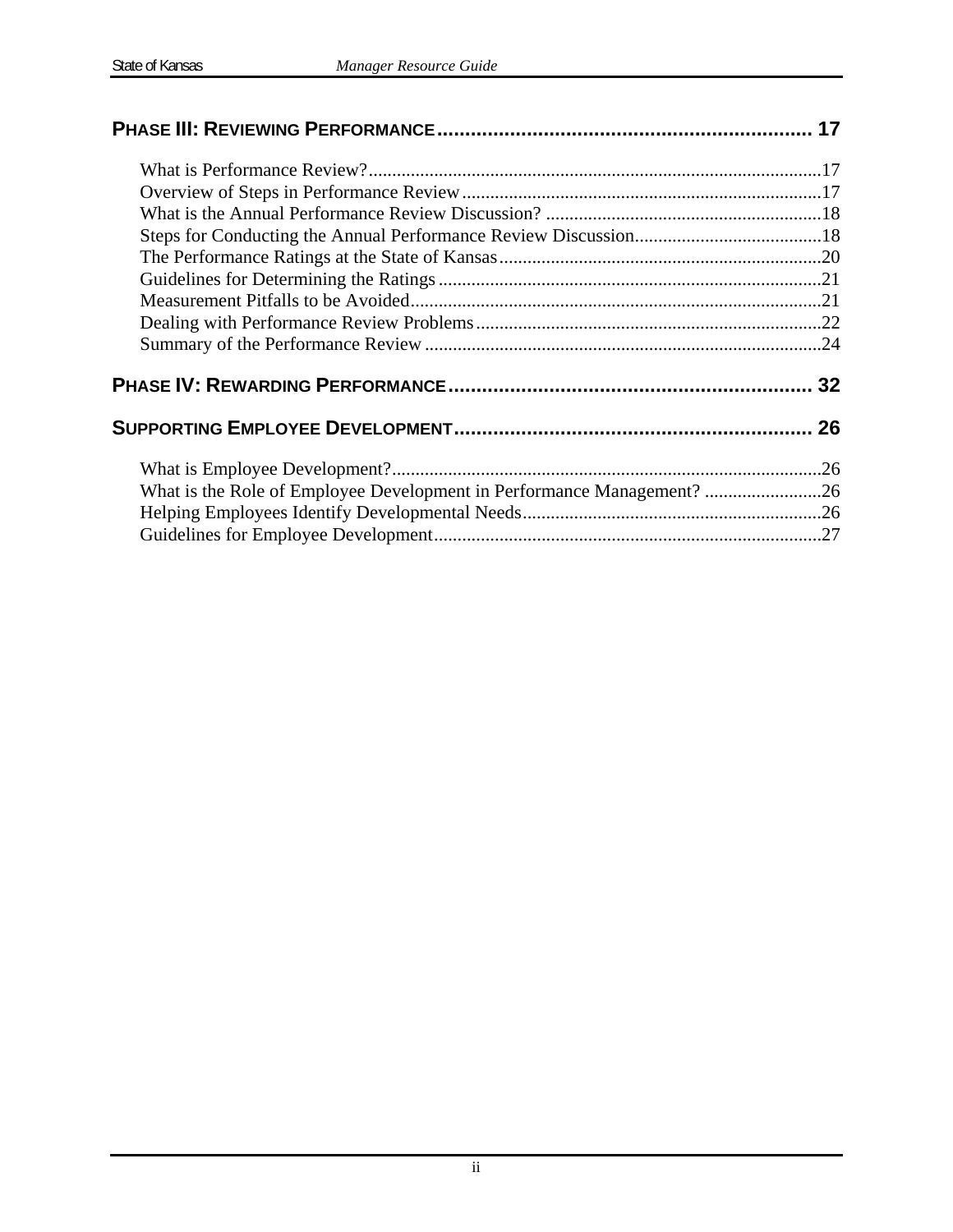| What is the Role of Employee Development in Performance Management? 26 |  |  |  |
|------------------------------------------------------------------------|--|--|--|
|                                                                        |  |  |  |
|                                                                        |  |  |  |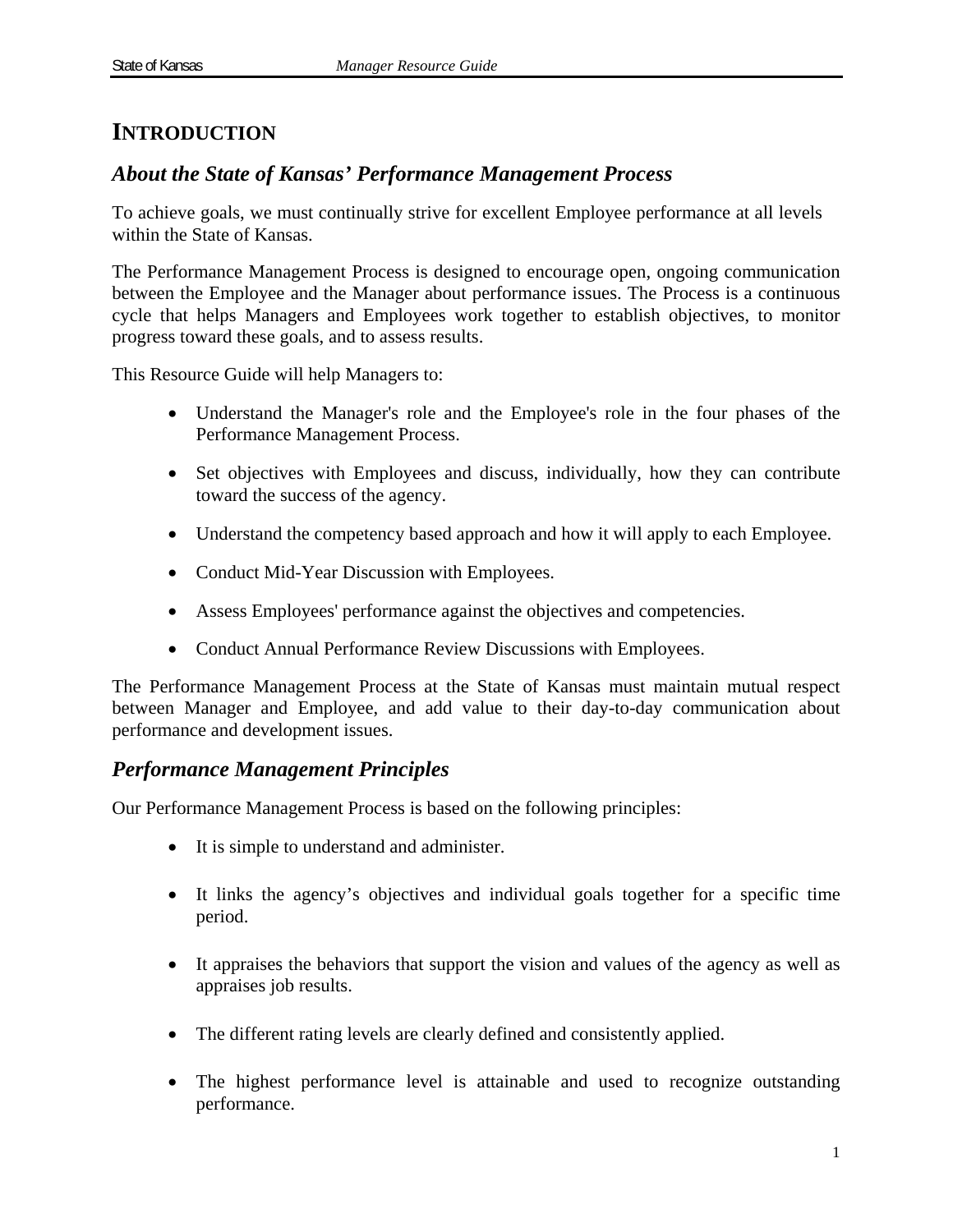# **INTRODUCTION**

# *About the State of Kansas' Performance Management Process*

To achieve goals, we must continually strive for excellent Employee performance at all levels within the State of Kansas.

The Performance Management Process is designed to encourage open, ongoing communication between the Employee and the Manager about performance issues. The Process is a continuous cycle that helps Managers and Employees work together to establish objectives, to monitor progress toward these goals, and to assess results.

This Resource Guide will help Managers to:

- Understand the Manager's role and the Employee's role in the four phases of the Performance Management Process.
- Set objectives with Employees and discuss, individually, how they can contribute toward the success of the agency.
- Understand the competency based approach and how it will apply to each Employee.
- Conduct Mid-Year Discussion with Employees.
- Assess Employees' performance against the objectives and competencies.
- Conduct Annual Performance Review Discussions with Employees.

The Performance Management Process at the State of Kansas must maintain mutual respect between Manager and Employee, and add value to their day-to-day communication about performance and development issues.

### *Performance Management Principles*

Our Performance Management Process is based on the following principles:

- It is simple to understand and administer.
- It links the agency's objectives and individual goals together for a specific time period.
- It appraises the behaviors that support the vision and values of the agency as well as appraises job results.
- The different rating levels are clearly defined and consistently applied.
- The highest performance level is attainable and used to recognize outstanding performance.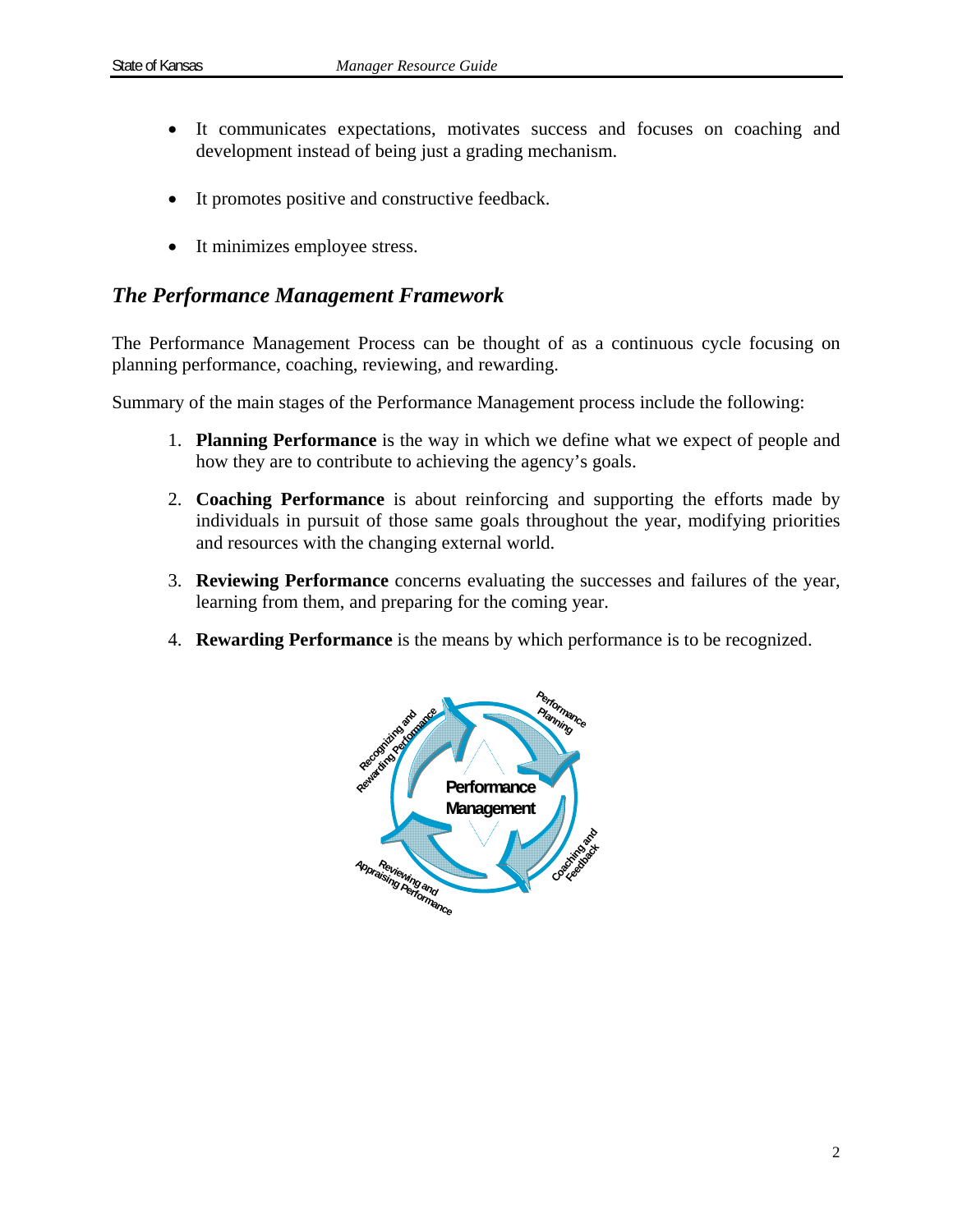- It communicates expectations, motivates success and focuses on coaching and development instead of being just a grading mechanism.
- It promotes positive and constructive feedback.
- It minimizes employee stress.

### *The Performance Management Framework*

The Performance Management Process can be thought of as a continuous cycle focusing on planning performance, coaching, reviewing, and rewarding.

Summary of the main stages of the Performance Management process include the following:

- 1. **Planning Performance** is the way in which we define what we expect of people and how they are to contribute to achieving the agency's goals.
- 2. **Coaching Performance** is about reinforcing and supporting the efforts made by individuals in pursuit of those same goals throughout the year, modifying priorities and resources with the changing external world.
- 3. **Reviewing Performance** concerns evaluating the successes and failures of the year, learning from them, and preparing for the coming year.
- 4. **Rewarding Performance** is the means by which performance is to be recognized.

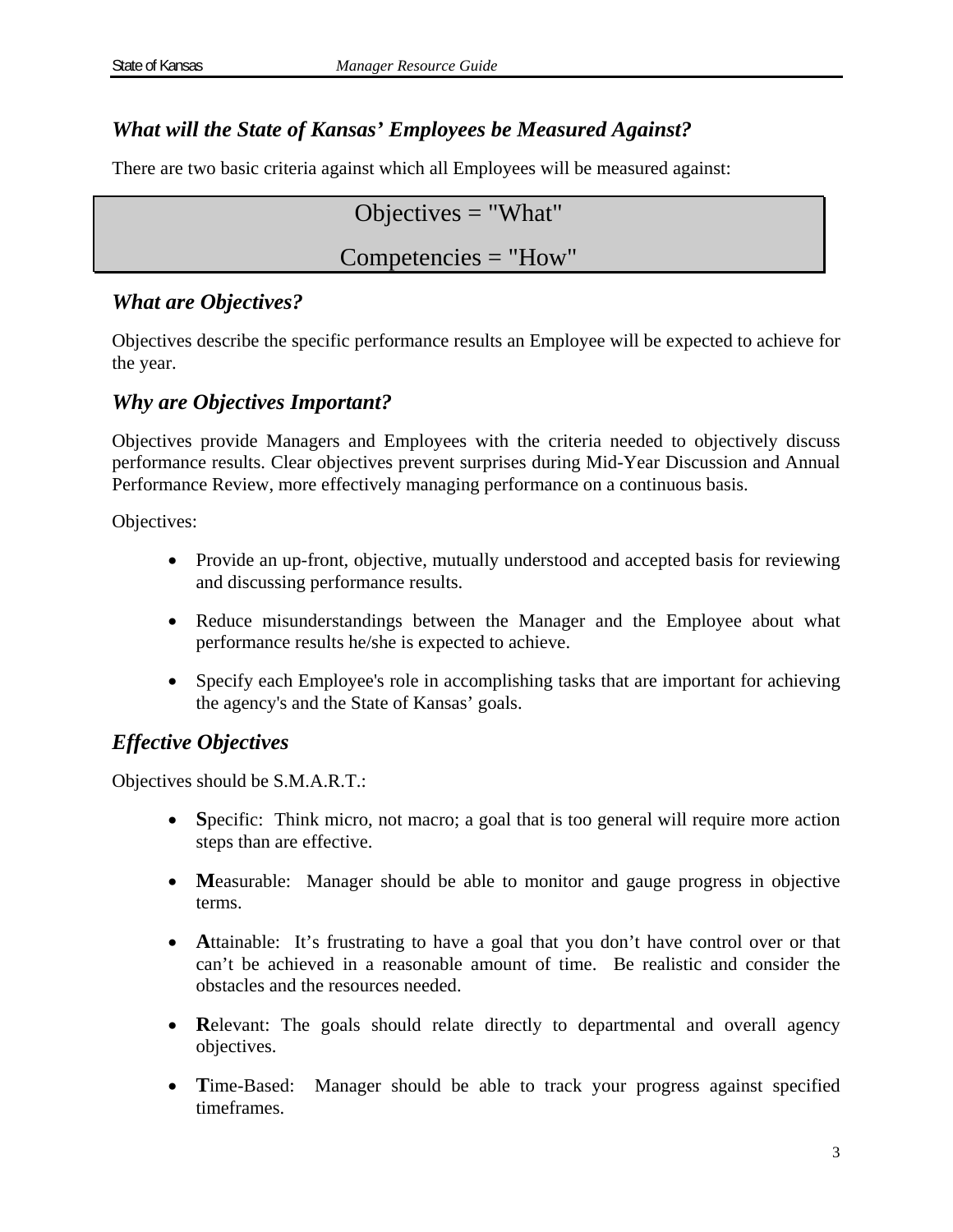# *What will the State of Kansas' Employees be Measured Against?*

There are two basic criteria against which all Employees will be measured against:

Objectives  $=$  "What"

# Competencies = "How"

### *What are Objectives?*

Objectives describe the specific performance results an Employee will be expected to achieve for the year.

### *Why are Objectives Important?*

Objectives provide Managers and Employees with the criteria needed to objectively discuss performance results. Clear objectives prevent surprises during Mid-Year Discussion and Annual Performance Review, more effectively managing performance on a continuous basis.

Objectives:

- Provide an up-front, objective, mutually understood and accepted basis for reviewing and discussing performance results.
- Reduce misunderstandings between the Manager and the Employee about what performance results he/she is expected to achieve.
- Specify each Employee's role in accomplishing tasks that are important for achieving the agency's and the State of Kansas' goals.

# *Effective Objectives*

Objectives should be S.M.A.R.T.:

- Specific: Think micro, not macro; a goal that is too general will require more action steps than are effective.
- Measurable: Manager should be able to monitor and gauge progress in objective terms.
- Attainable: It's frustrating to have a goal that you don't have control over or that can't be achieved in a reasonable amount of time. Be realistic and consider the obstacles and the resources needed.
- Relevant: The goals should relate directly to departmental and overall agency objectives.
- Time-Based: Manager should be able to track your progress against specified timeframes.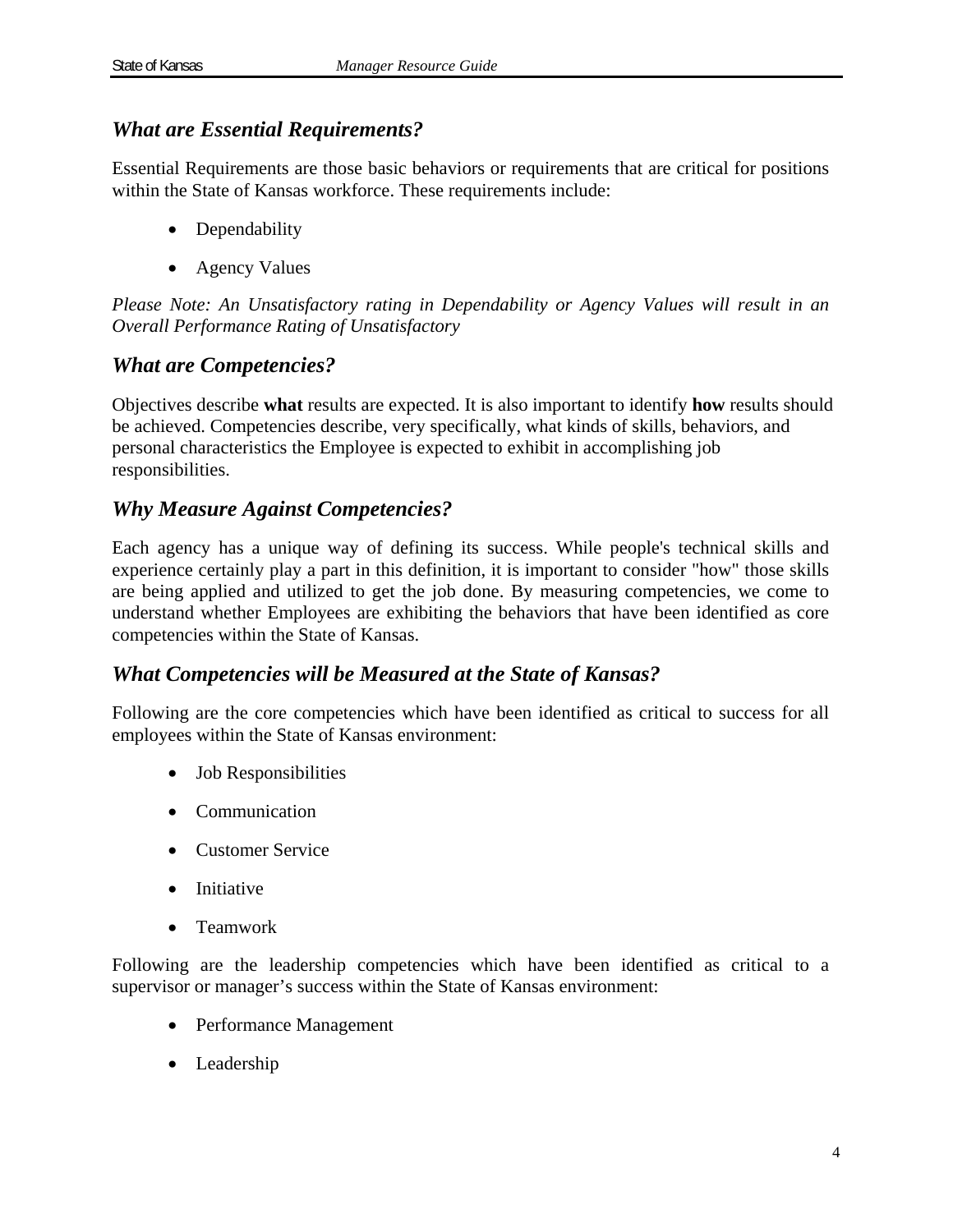# *What are Essential Requirements?*

Essential Requirements are those basic behaviors or requirements that are critical for positions within the State of Kansas workforce. These requirements include:

- Dependability
- Agency Values

*Please Note: An Unsatisfactory rating in Dependability or Agency Values will result in an Overall Performance Rating of Unsatisfactory* 

# *What are Competencies?*

Objectives describe **what** results are expected. It is also important to identify **how** results should be achieved. Competencies describe, very specifically, what kinds of skills, behaviors, and personal characteristics the Employee is expected to exhibit in accomplishing job responsibilities.

# *Why Measure Against Competencies?*

Each agency has a unique way of defining its success. While people's technical skills and experience certainly play a part in this definition, it is important to consider "how" those skills are being applied and utilized to get the job done. By measuring competencies, we come to understand whether Employees are exhibiting the behaviors that have been identified as core competencies within the State of Kansas.

# *What Competencies will be Measured at the State of Kansas?*

Following are the core competencies which have been identified as critical to success for all employees within the State of Kansas environment:

- Job Responsibilities
- Communication
- Customer Service
- Initiative
- Teamwork

Following are the leadership competencies which have been identified as critical to a supervisor or manager's success within the State of Kansas environment:

- Performance Management
- Leadership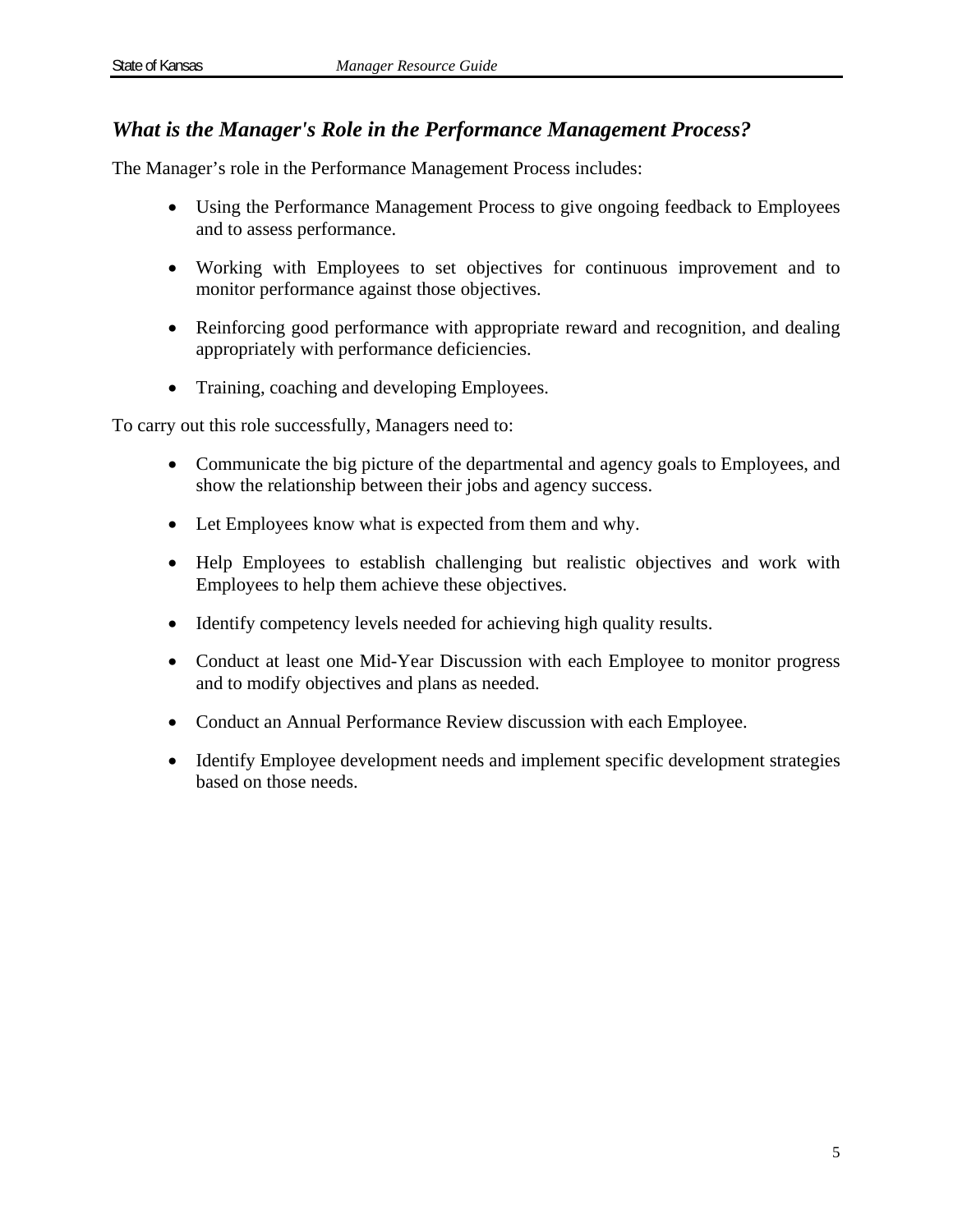# *What is the Manager's Role in the Performance Management Process?*

The Manager's role in the Performance Management Process includes:

- Using the Performance Management Process to give ongoing feedback to Employees and to assess performance.
- Working with Employees to set objectives for continuous improvement and to monitor performance against those objectives.
- Reinforcing good performance with appropriate reward and recognition, and dealing appropriately with performance deficiencies.
- Training, coaching and developing Employees.

To carry out this role successfully, Managers need to:

- Communicate the big picture of the departmental and agency goals to Employees, and show the relationship between their jobs and agency success.
- Let Employees know what is expected from them and why.
- Help Employees to establish challenging but realistic objectives and work with Employees to help them achieve these objectives.
- Identify competency levels needed for achieving high quality results.
- Conduct at least one Mid-Year Discussion with each Employee to monitor progress and to modify objectives and plans as needed.
- Conduct an Annual Performance Review discussion with each Employee.
- Identify Employee development needs and implement specific development strategies based on those needs.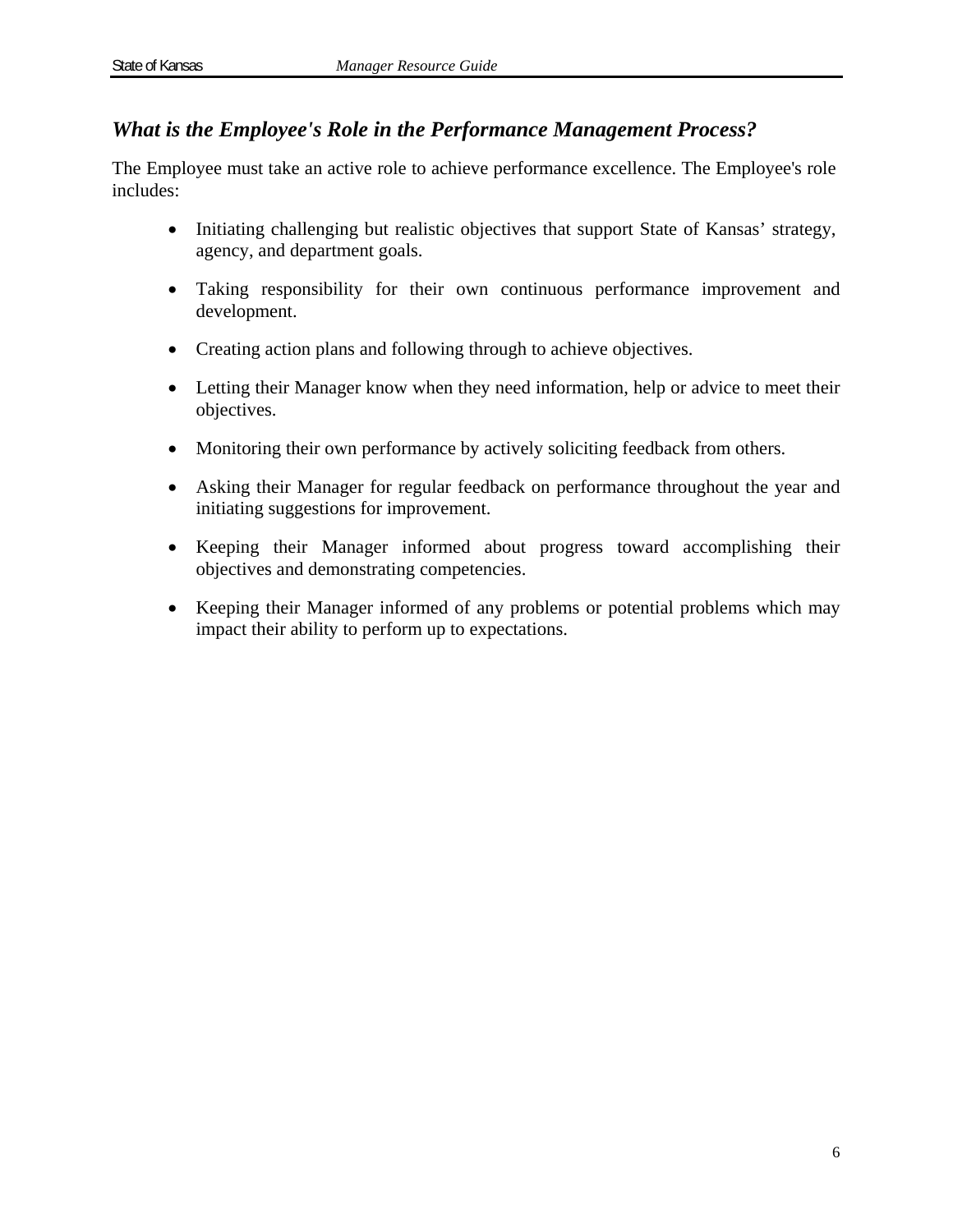### *What is the Employee's Role in the Performance Management Process?*

The Employee must take an active role to achieve performance excellence. The Employee's role includes:

- Initiating challenging but realistic objectives that support State of Kansas' strategy, agency, and department goals.
- Taking responsibility for their own continuous performance improvement and development.
- Creating action plans and following through to achieve objectives.
- Letting their Manager know when they need information, help or advice to meet their objectives.
- Monitoring their own performance by actively soliciting feedback from others.
- Asking their Manager for regular feedback on performance throughout the year and initiating suggestions for improvement.
- Keeping their Manager informed about progress toward accomplishing their objectives and demonstrating competencies.
- Keeping their Manager informed of any problems or potential problems which may impact their ability to perform up to expectations.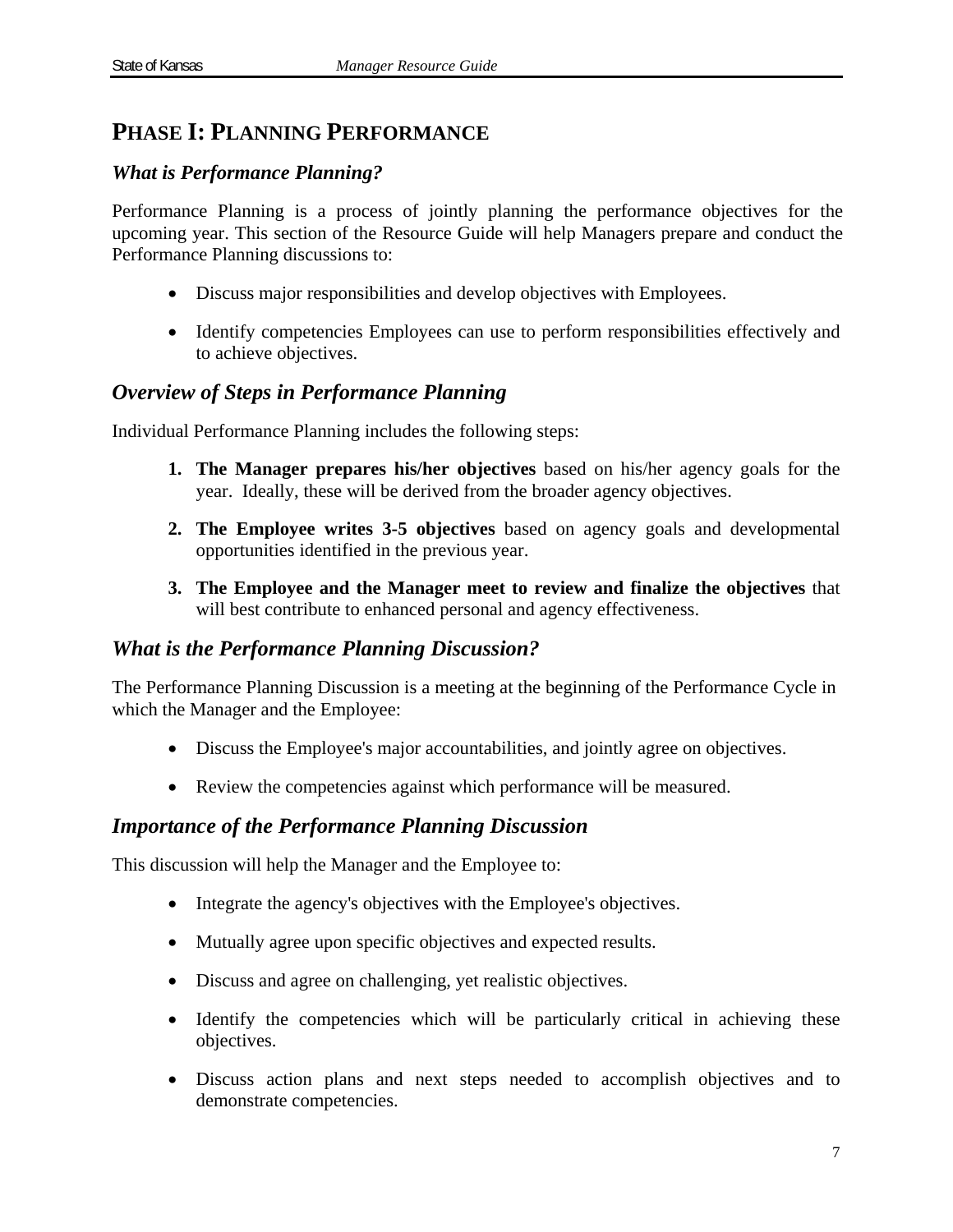# **PHASE I: PLANNING PERFORMANCE**

### *What is Performance Planning?*

Performance Planning is a process of jointly planning the performance objectives for the upcoming year. This section of the Resource Guide will help Managers prepare and conduct the Performance Planning discussions to:

- Discuss major responsibilities and develop objectives with Employees.
- Identify competencies Employees can use to perform responsibilities effectively and to achieve objectives.

### *Overview of Steps in Performance Planning*

Individual Performance Planning includes the following steps:

- **1. The Manager prepares his/her objectives** based on his/her agency goals for the year. Ideally, these will be derived from the broader agency objectives.
- **2. The Employee writes 3-5 objectives** based on agency goals and developmental opportunities identified in the previous year.
- **3. The Employee and the Manager meet to review and finalize the objectives** that will best contribute to enhanced personal and agency effectiveness.

### *What is the Performance Planning Discussion?*

The Performance Planning Discussion is a meeting at the beginning of the Performance Cycle in which the Manager and the Employee:

- Discuss the Employee's major accountabilities, and jointly agree on objectives.
- Review the competencies against which performance will be measured.

### *Importance of the Performance Planning Discussion*

This discussion will help the Manager and the Employee to:

- Integrate the agency's objectives with the Employee's objectives.
- Mutually agree upon specific objectives and expected results.
- Discuss and agree on challenging, yet realistic objectives.
- Identify the competencies which will be particularly critical in achieving these objectives.
- Discuss action plans and next steps needed to accomplish objectives and to demonstrate competencies.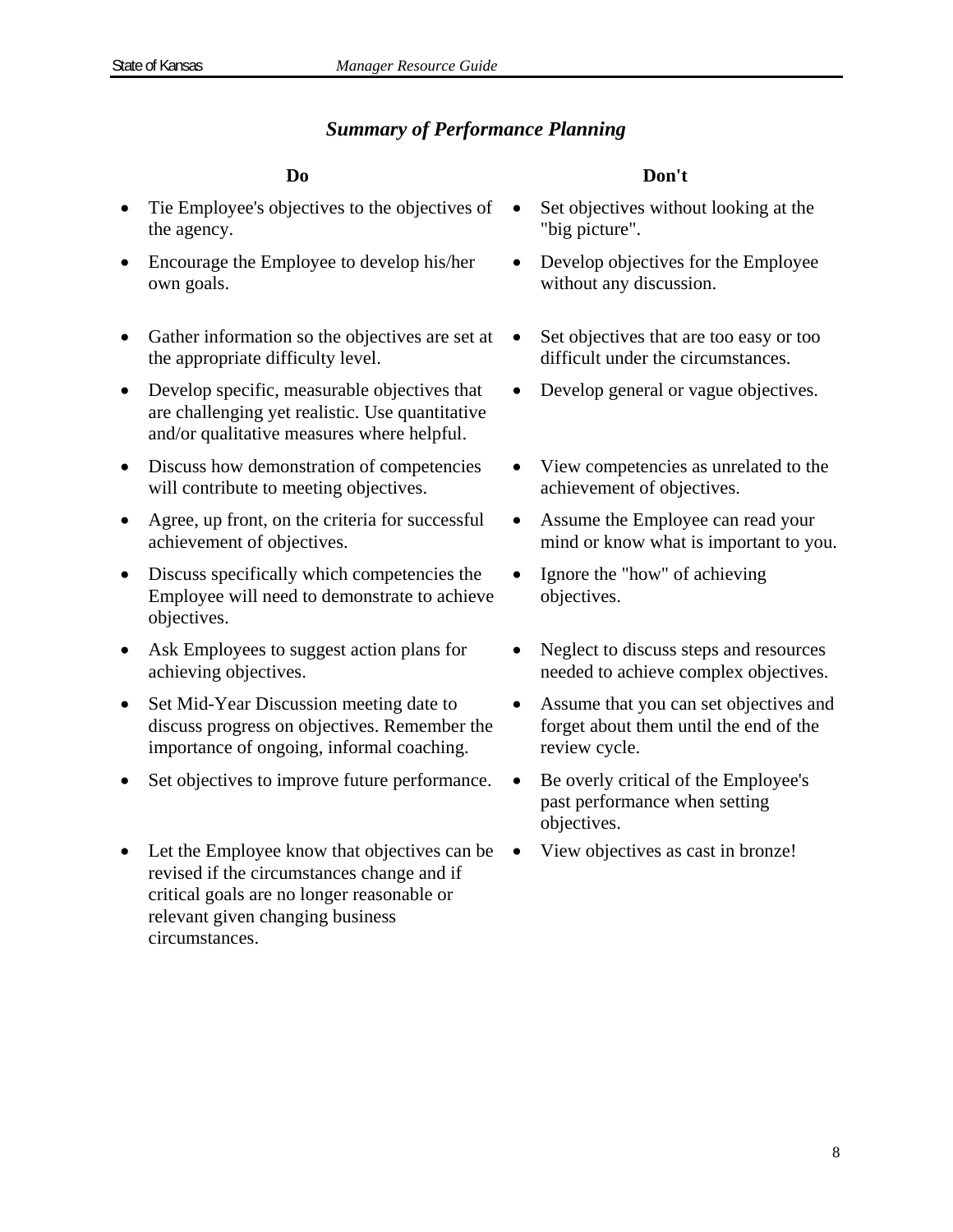### *Summary of Performance Planning*

- Tie Employee's objectives to the objectives of the agency.
- Encourage the Employee to develop his/her own goals.
- Gather information so the objectives are set at the appropriate difficulty level.
- Develop specific, measurable objectives that are challenging yet realistic. Use quantitative and/or qualitative measures where helpful.
- Discuss how demonstration of competencies will contribute to meeting objectives.
- Agree, up front, on the criteria for successful achievement of objectives.
- Discuss specifically which competencies the Employee will need to demonstrate to achieve objectives.
- Ask Employees to suggest action plans for achieving objectives.
- Set Mid-Year Discussion meeting date to discuss progress on objectives. Remember the importance of ongoing, informal coaching.
- Set objectives to improve future performance. Be overly critical of the Employee's
- Let the Employee know that objectives can be revised if the circumstances change and if critical goals are no longer reasonable or relevant given changing business circumstances.

### **Do Don't**

- Set objectives without looking at the "big picture".
- Develop objectives for the Employee without any discussion.
- Set objectives that are too easy or too difficult under the circumstances.
- Develop general or vague objectives.
- View competencies as unrelated to the achievement of objectives.
- Assume the Employee can read your mind or know what is important to you.
- Ignore the "how" of achieving objectives.
- Neglect to discuss steps and resources needed to achieve complex objectives.
- Assume that you can set objectives and forget about them until the end of the review cycle.
- past performance when setting objectives.
- View objectives as cast in bronze!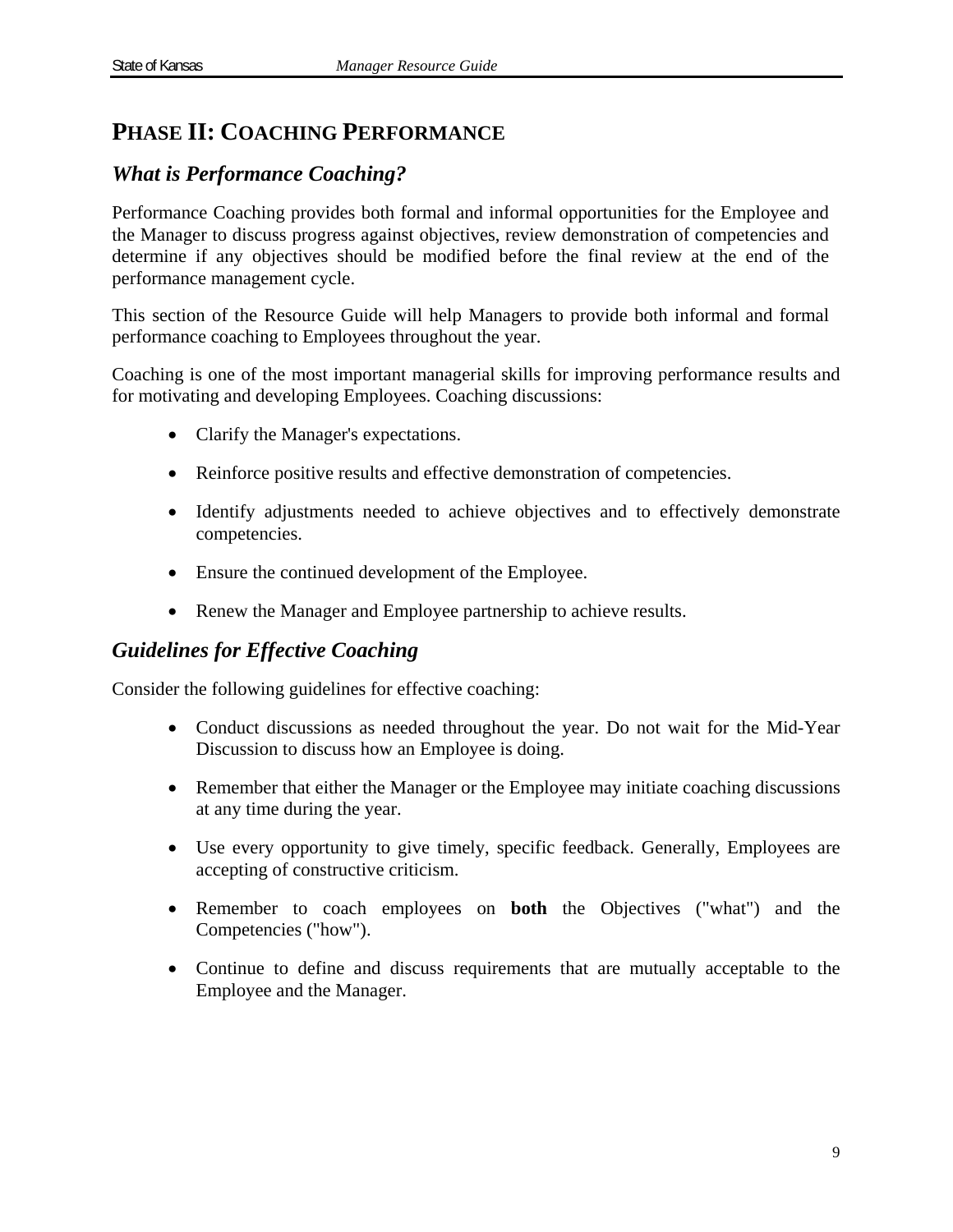# **PHASE II: COACHING PERFORMANCE**

# *What is Performance Coaching?*

Performance Coaching provides both formal and informal opportunities for the Employee and the Manager to discuss progress against objectives, review demonstration of competencies and determine if any objectives should be modified before the final review at the end of the performance management cycle.

This section of the Resource Guide will help Managers to provide both informal and formal performance coaching to Employees throughout the year.

Coaching is one of the most important managerial skills for improving performance results and for motivating and developing Employees. Coaching discussions:

- Clarify the Manager's expectations.
- Reinforce positive results and effective demonstration of competencies.
- Identify adjustments needed to achieve objectives and to effectively demonstrate competencies.
- Ensure the continued development of the Employee.
- Renew the Manager and Employee partnership to achieve results.

### *Guidelines for Effective Coaching*

Consider the following guidelines for effective coaching:

- Conduct discussions as needed throughout the year. Do not wait for the Mid-Year Discussion to discuss how an Employee is doing.
- Remember that either the Manager or the Employee may initiate coaching discussions at any time during the year.
- Use every opportunity to give timely, specific feedback. Generally, Employees are accepting of constructive criticism.
- Remember to coach employees on **both** the Objectives ("what") and the Competencies ("how").
- Continue to define and discuss requirements that are mutually acceptable to the Employee and the Manager.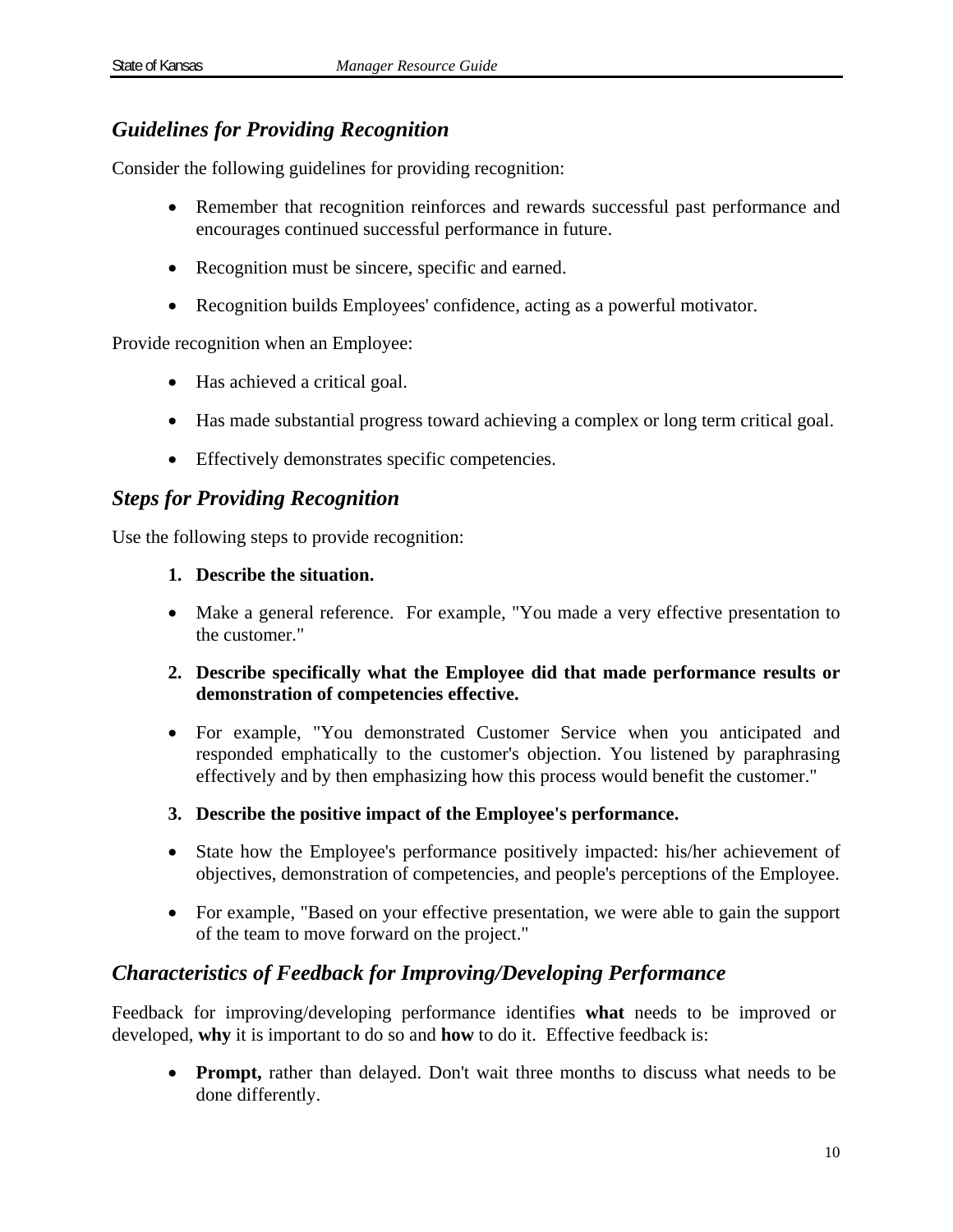# *Guidelines for Providing Recognition*

Consider the following guidelines for providing recognition:

- Remember that recognition reinforces and rewards successful past performance and encourages continued successful performance in future.
- Recognition must be sincere, specific and earned.
- Recognition builds Employees' confidence, acting as a powerful motivator.

Provide recognition when an Employee:

- Has achieved a critical goal.
- Has made substantial progress toward achieving a complex or long term critical goal.
- Effectively demonstrates specific competencies.

### *Steps for Providing Recognition*

Use the following steps to provide recognition:

- **1. Describe the situation.**
- Make a general reference. For example, "You made a very effective presentation to the customer."
- **2. Describe specifically what the Employee did that made performance results or demonstration of competencies effective.**
- For example, "You demonstrated Customer Service when you anticipated and responded emphatically to the customer's objection. You listened by paraphrasing effectively and by then emphasizing how this process would benefit the customer."
- **3. Describe the positive impact of the Employee's performance.**
- State how the Employee's performance positively impacted: his/her achievement of objectives, demonstration of competencies, and people's perceptions of the Employee.
- For example, "Based on your effective presentation, we were able to gain the support of the team to move forward on the project."

# *Characteristics of Feedback for Improving/Developing Performance*

Feedback for improving/developing performance identifies **what** needs to be improved or developed, **why** it is important to do so and **how** to do it. Effective feedback is:

 **Prompt,** rather than delayed. Don't wait three months to discuss what needs to be done differently.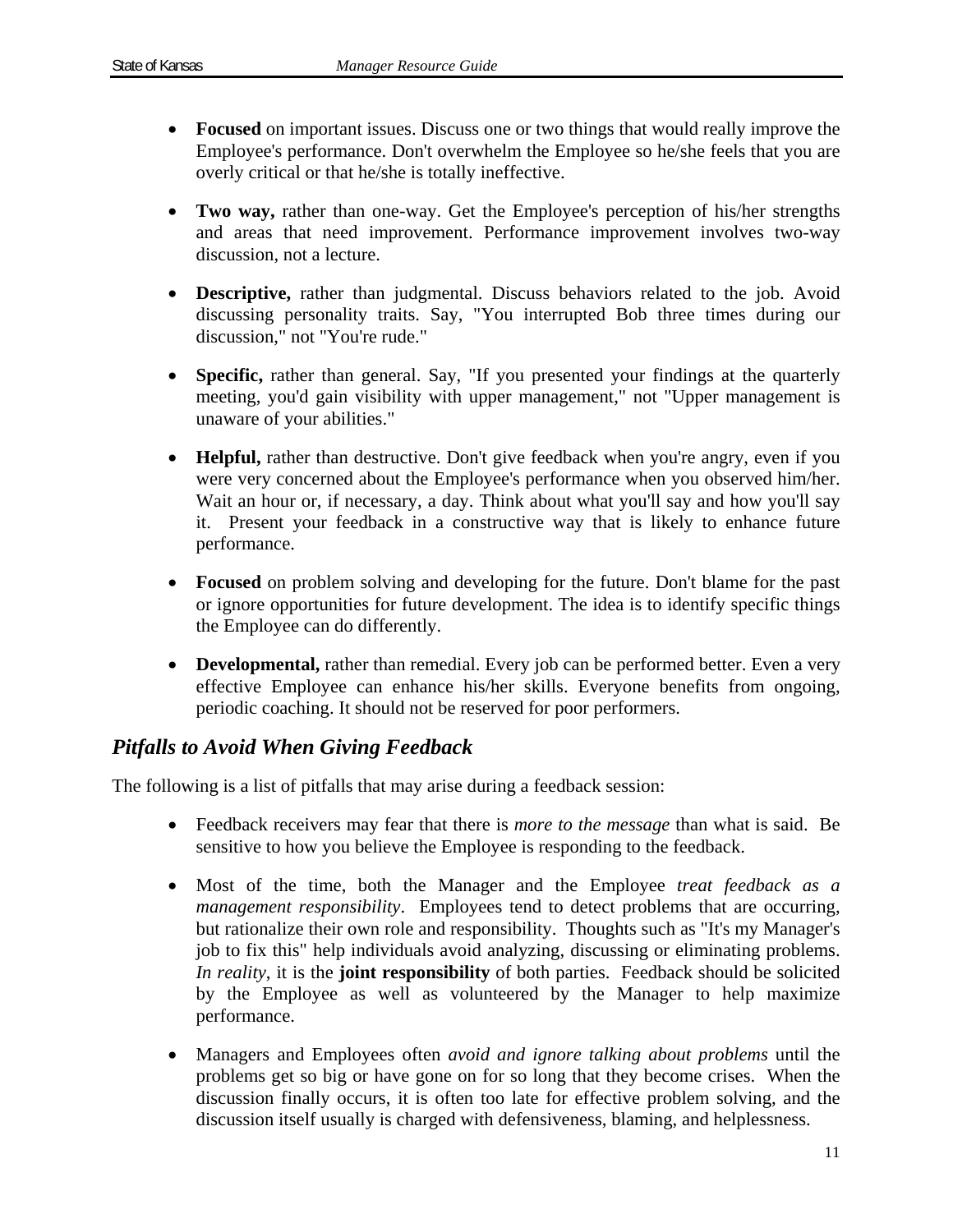- **Focused** on important issues. Discuss one or two things that would really improve the Employee's performance. Don't overwhelm the Employee so he/she feels that you are overly critical or that he/she is totally ineffective.
- **Two way,** rather than one-way. Get the Employee's perception of his/her strengths and areas that need improvement. Performance improvement involves two-way discussion, not a lecture.
- **Descriptive,** rather than judgmental. Discuss behaviors related to the job. Avoid discussing personality traits. Say, "You interrupted Bob three times during our discussion," not "You're rude."
- **Specific,** rather than general. Say, "If you presented your findings at the quarterly meeting, you'd gain visibility with upper management," not "Upper management is unaware of your abilities."
- **Helpful,** rather than destructive. Don't give feedback when you're angry, even if you were very concerned about the Employee's performance when you observed him/her. Wait an hour or, if necessary, a day. Think about what you'll say and how you'll say it. Present your feedback in a constructive way that is likely to enhance future performance.
- **Focused** on problem solving and developing for the future. Don't blame for the past or ignore opportunities for future development. The idea is to identify specific things the Employee can do differently.
- **Developmental,** rather than remedial. Every job can be performed better. Even a very effective Employee can enhance his/her skills. Everyone benefits from ongoing, periodic coaching. It should not be reserved for poor performers.

# *Pitfalls to Avoid When Giving Feedback*

The following is a list of pitfalls that may arise during a feedback session:

- Feedback receivers may fear that there is *more to the message* than what is said. Be sensitive to how you believe the Employee is responding to the feedback.
- Most of the time, both the Manager and the Employee *treat feedback as a management responsibility*. Employees tend to detect problems that are occurring, but rationalize their own role and responsibility. Thoughts such as "It's my Manager's job to fix this" help individuals avoid analyzing, discussing or eliminating problems. *In reality*, it is the **joint responsibility** of both parties. Feedback should be solicited by the Employee as well as volunteered by the Manager to help maximize performance.
- Managers and Employees often *avoid and ignore talking about problems* until the problems get so big or have gone on for so long that they become crises. When the discussion finally occurs, it is often too late for effective problem solving, and the discussion itself usually is charged with defensiveness, blaming, and helplessness.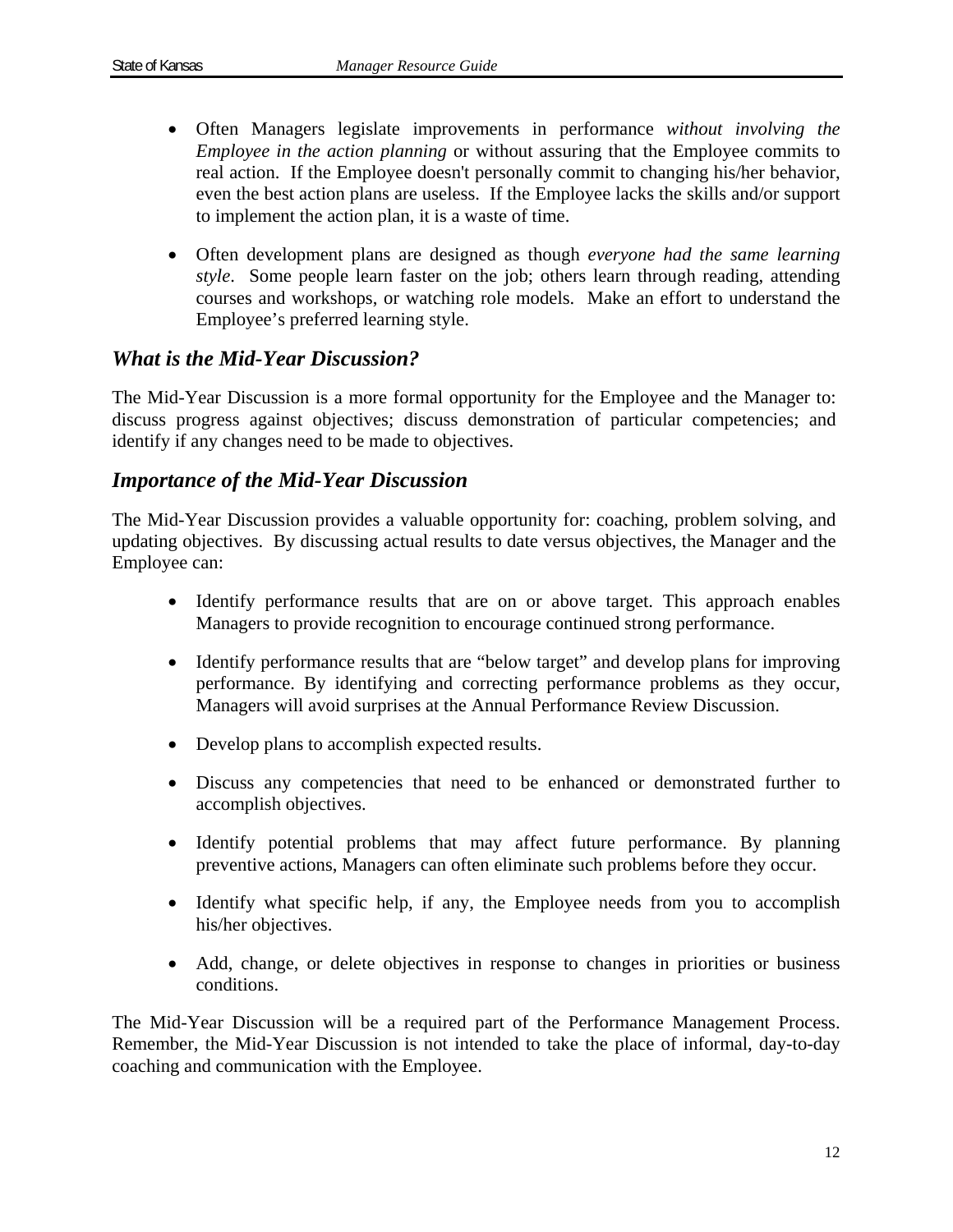- Often Managers legislate improvements in performance *without involving the Employee in the action planning* or without assuring that the Employee commits to real action. If the Employee doesn't personally commit to changing his/her behavior, even the best action plans are useless. If the Employee lacks the skills and/or support to implement the action plan, it is a waste of time.
- Often development plans are designed as though *everyone had the same learning style*. Some people learn faster on the job; others learn through reading, attending courses and workshops, or watching role models. Make an effort to understand the Employee's preferred learning style.

### *What is the Mid-Year Discussion?*

The Mid-Year Discussion is a more formal opportunity for the Employee and the Manager to: discuss progress against objectives; discuss demonstration of particular competencies; and identify if any changes need to be made to objectives.

### *Importance of the Mid-Year Discussion*

The Mid-Year Discussion provides a valuable opportunity for: coaching, problem solving, and updating objectives. By discussing actual results to date versus objectives, the Manager and the Employee can:

- Identify performance results that are on or above target. This approach enables Managers to provide recognition to encourage continued strong performance.
- Identify performance results that are "below target" and develop plans for improving performance. By identifying and correcting performance problems as they occur, Managers will avoid surprises at the Annual Performance Review Discussion.
- Develop plans to accomplish expected results.
- Discuss any competencies that need to be enhanced or demonstrated further to accomplish objectives.
- Identify potential problems that may affect future performance. By planning preventive actions, Managers can often eliminate such problems before they occur.
- Identify what specific help, if any, the Employee needs from you to accomplish his/her objectives.
- Add, change, or delete objectives in response to changes in priorities or business conditions.

The Mid-Year Discussion will be a required part of the Performance Management Process. Remember, the Mid-Year Discussion is not intended to take the place of informal, day-to-day coaching and communication with the Employee.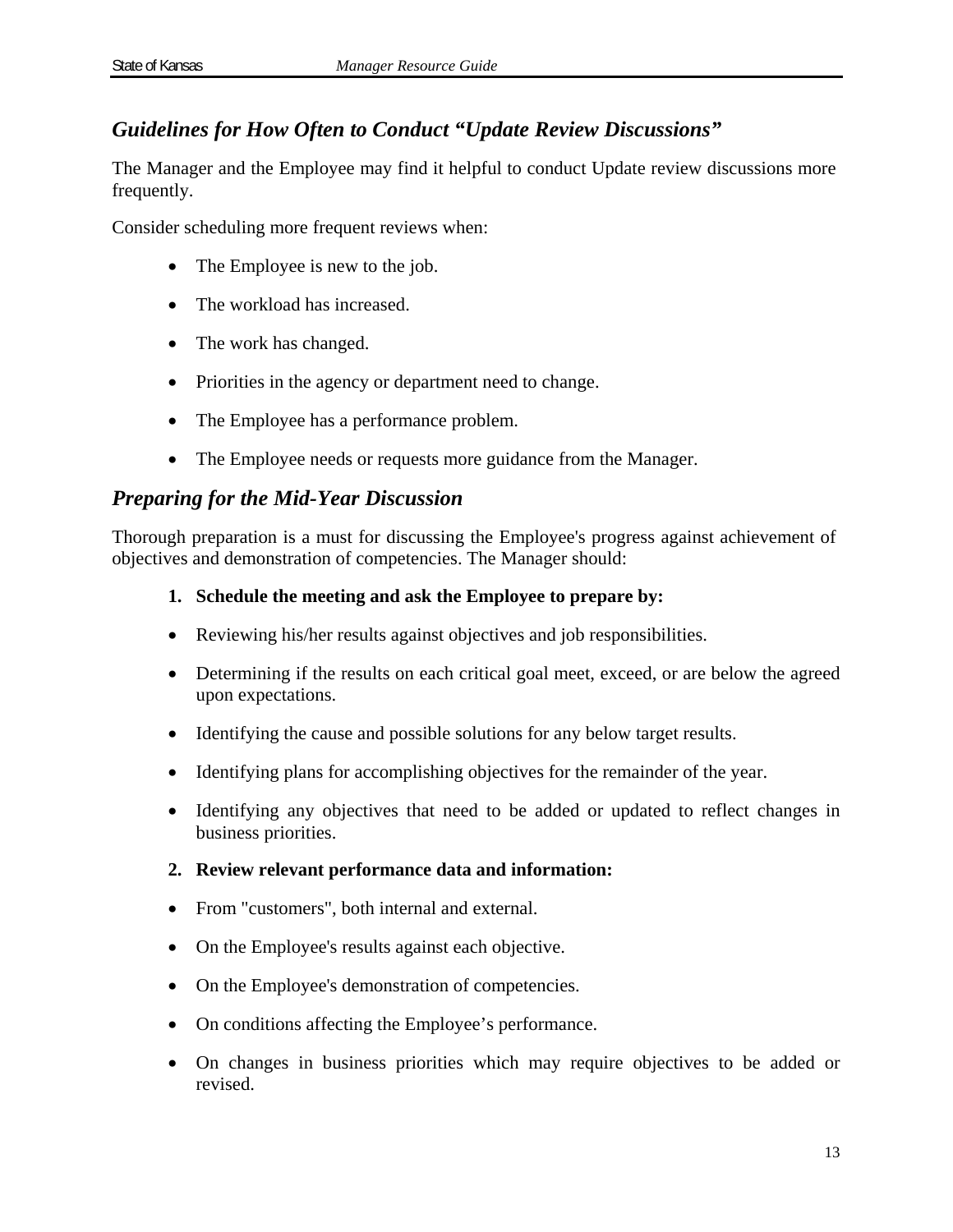# *Guidelines for How Often to Conduct "Update Review Discussions"*

The Manager and the Employee may find it helpful to conduct Update review discussions more frequently.

Consider scheduling more frequent reviews when:

- The Employee is new to the job.
- The workload has increased.
- The work has changed.
- Priorities in the agency or department need to change.
- The Employee has a performance problem.
- The Employee needs or requests more guidance from the Manager.

### *Preparing for the Mid-Year Discussion*

Thorough preparation is a must for discussing the Employee's progress against achievement of objectives and demonstration of competencies. The Manager should:

### **1. Schedule the meeting and ask the Employee to prepare by:**

- Reviewing his/her results against objectives and job responsibilities.
- Determining if the results on each critical goal meet, exceed, or are below the agreed upon expectations.
- Identifying the cause and possible solutions for any below target results.
- Identifying plans for accomplishing objectives for the remainder of the year.
- Identifying any objectives that need to be added or updated to reflect changes in business priorities.

### **2. Review relevant performance data and information:**

- From "customers", both internal and external.
- On the Employee's results against each objective.
- On the Employee's demonstration of competencies.
- On conditions affecting the Employee's performance.
- On changes in business priorities which may require objectives to be added or revised.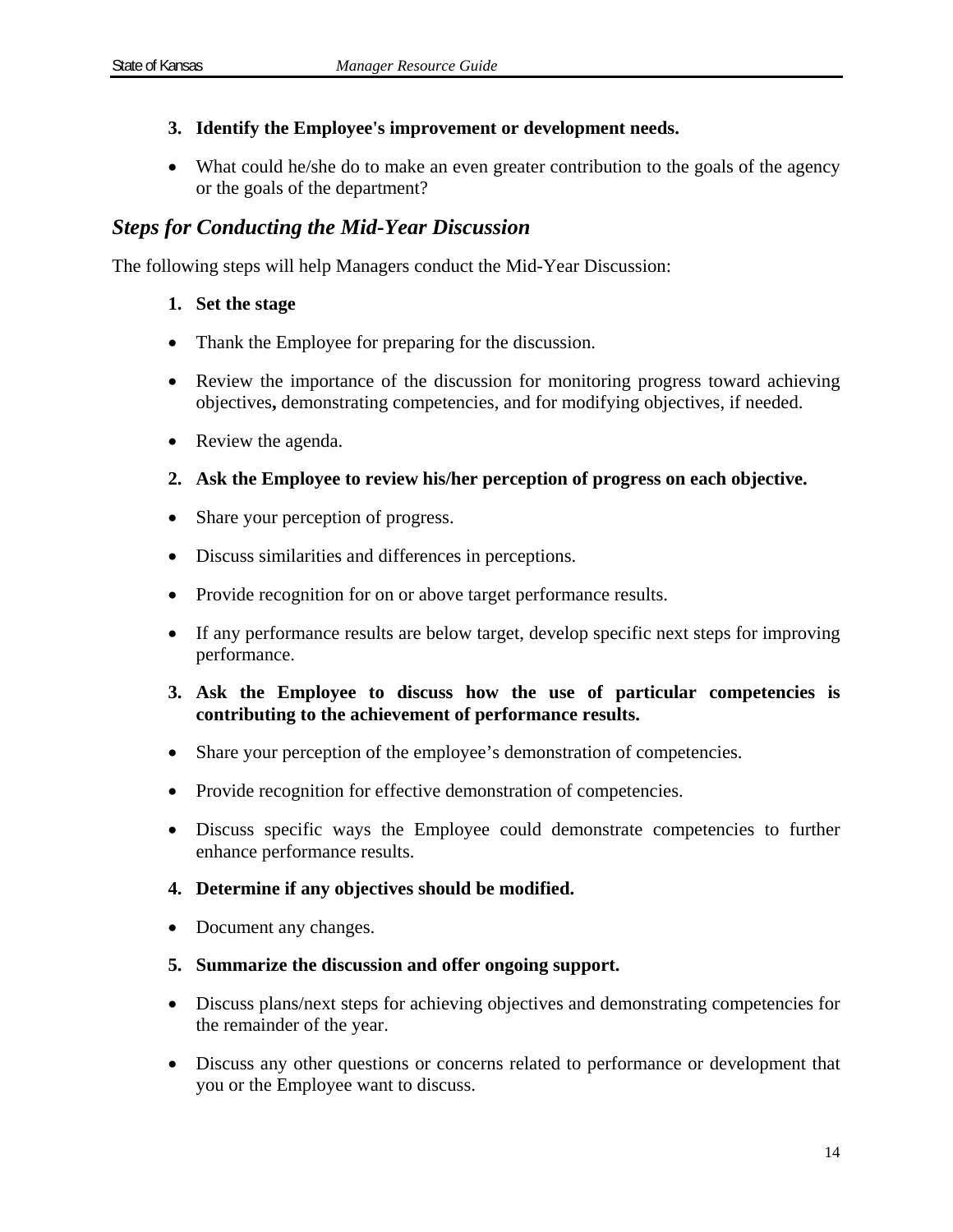### **3. Identify the Employee's improvement or development needs.**

• What could he/she do to make an even greater contribution to the goals of the agency or the goals of the department?

### *Steps for Conducting the Mid-Year Discussion*

The following steps will help Managers conduct the Mid-Year Discussion:

### **1. Set the stage**

- Thank the Employee for preparing for the discussion.
- Review the importance of the discussion for monitoring progress toward achieving objectives**,** demonstrating competencies, and for modifying objectives, if needed.
- Review the agenda.
- **2. Ask the Employee to review his/her perception of progress on each objective.**
- Share your perception of progress.
- Discuss similarities and differences in perceptions.
- Provide recognition for on or above target performance results.
- If any performance results are below target, develop specific next steps for improving performance.

### **3. Ask the Employee to discuss how the use of particular competencies is contributing to the achievement of performance results.**

- Share your perception of the employee's demonstration of competencies.
- Provide recognition for effective demonstration of competencies.
- Discuss specific ways the Employee could demonstrate competencies to further enhance performance results.
- **4. Determine if any objectives should be modified.**
- Document any changes.
- **5. Summarize the discussion and offer ongoing support.**
- Discuss plans/next steps for achieving objectives and demonstrating competencies for the remainder of the year.
- Discuss any other questions or concerns related to performance or development that you or the Employee want to discuss.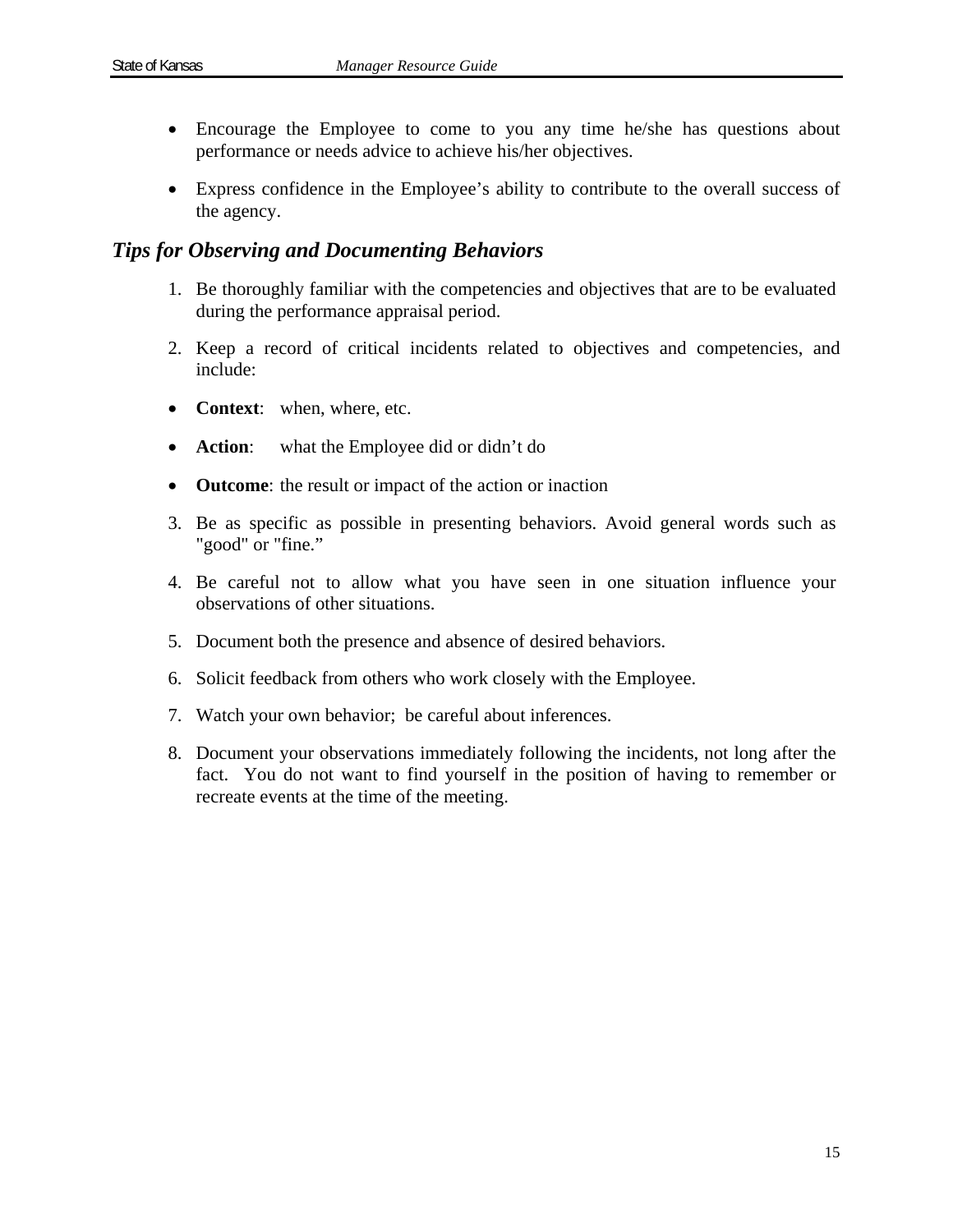- Encourage the Employee to come to you any time he/she has questions about performance or needs advice to achieve his/her objectives.
- Express confidence in the Employee's ability to contribute to the overall success of the agency.

### *Tips for Observing and Documenting Behaviors*

- 1. Be thoroughly familiar with the competencies and objectives that are to be evaluated during the performance appraisal period.
- 2. Keep a record of critical incidents related to objectives and competencies, and include:
- **Context**: when, where, etc.
- **Action:** what the Employee did or didn't do
- **Outcome**: the result or impact of the action or inaction
- 3. Be as specific as possible in presenting behaviors. Avoid general words such as "good" or "fine."
- 4. Be careful not to allow what you have seen in one situation influence your observations of other situations.
- 5. Document both the presence and absence of desired behaviors.
- 6. Solicit feedback from others who work closely with the Employee.
- 7. Watch your own behavior; be careful about inferences.
- 8. Document your observations immediately following the incidents, not long after the fact. You do not want to find yourself in the position of having to remember or recreate events at the time of the meeting.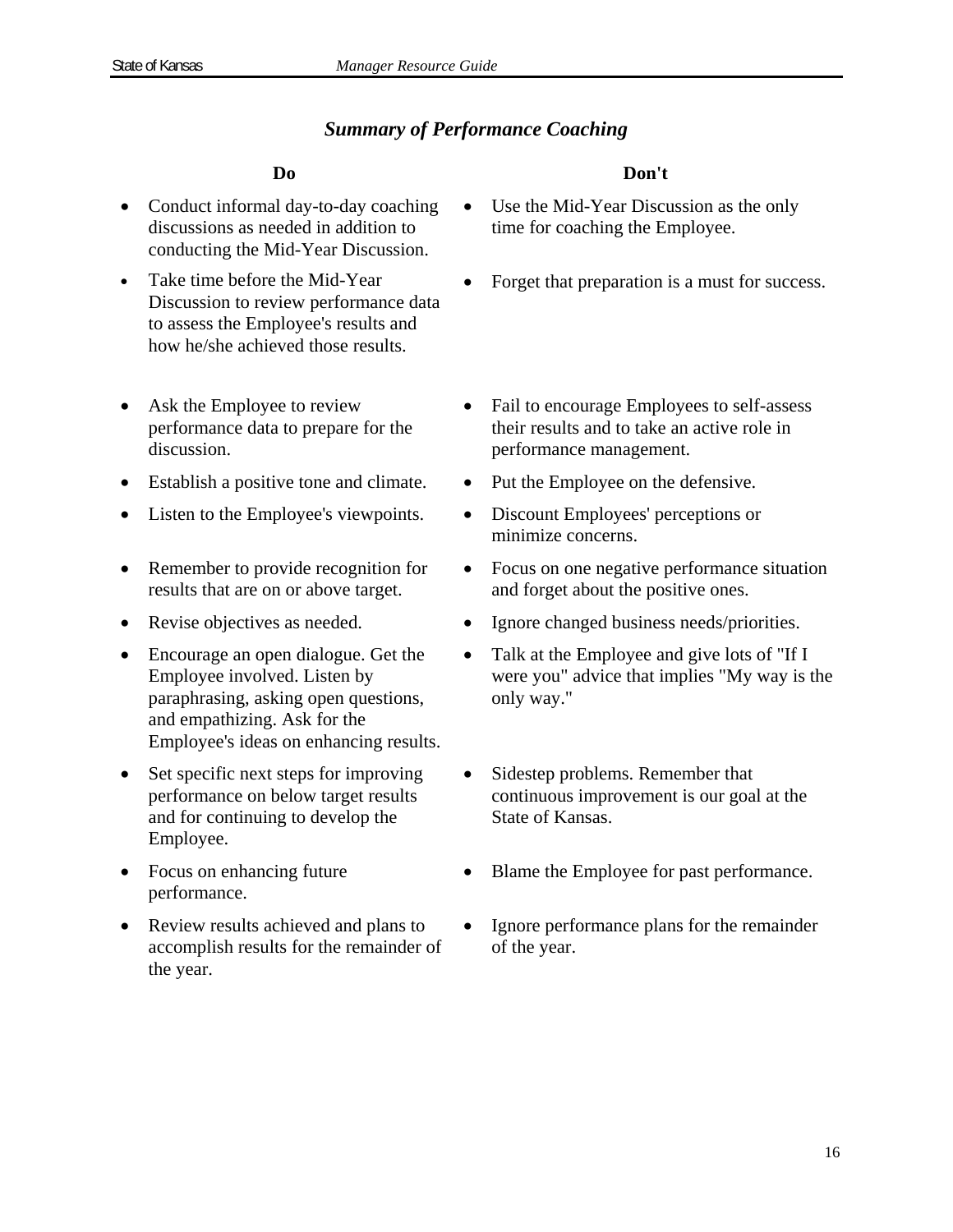### *Summary of Performance Coaching*

- Conduct informal day-to-day coaching discussions as needed in addition to conducting the Mid-Year Discussion.
- Take time before the Mid-Year Discussion to review performance data to assess the Employee's results and how he/she achieved those results.
- Ask the Employee to review performance data to prepare for the discussion.
- Establish a positive tone and climate. Put the Employee on the defensive.
- Listen to the Employee's viewpoints. Discount Employees' perceptions or
- Remember to provide recognition for results that are on or above target.
- 
- Encourage an open dialogue. Get the Employee involved. Listen by paraphrasing, asking open questions, and empathizing. Ask for the Employee's ideas on enhancing results.
- Set specific next steps for improving performance on below target results and for continuing to develop the Employee.
- Focus on enhancing future performance.
- Review results achieved and plans to accomplish results for the remainder of the year.

### **Do Don't**

- Use the Mid-Year Discussion as the only time for coaching the Employee.
- Forget that preparation is a must for success.
- Fail to encourage Employees to self-assess their results and to take an active role in performance management.
- 
- minimize concerns.
- Focus on one negative performance situation and forget about the positive ones.
- Revise objectives as needed. Ignore changed business needs/priorities.
	- Talk at the Employee and give lots of "If I were you" advice that implies "My way is the only way."
	- Sidestep problems. Remember that continuous improvement is our goal at the State of Kansas.
	- Blame the Employee for past performance.
	- Ignore performance plans for the remainder of the year.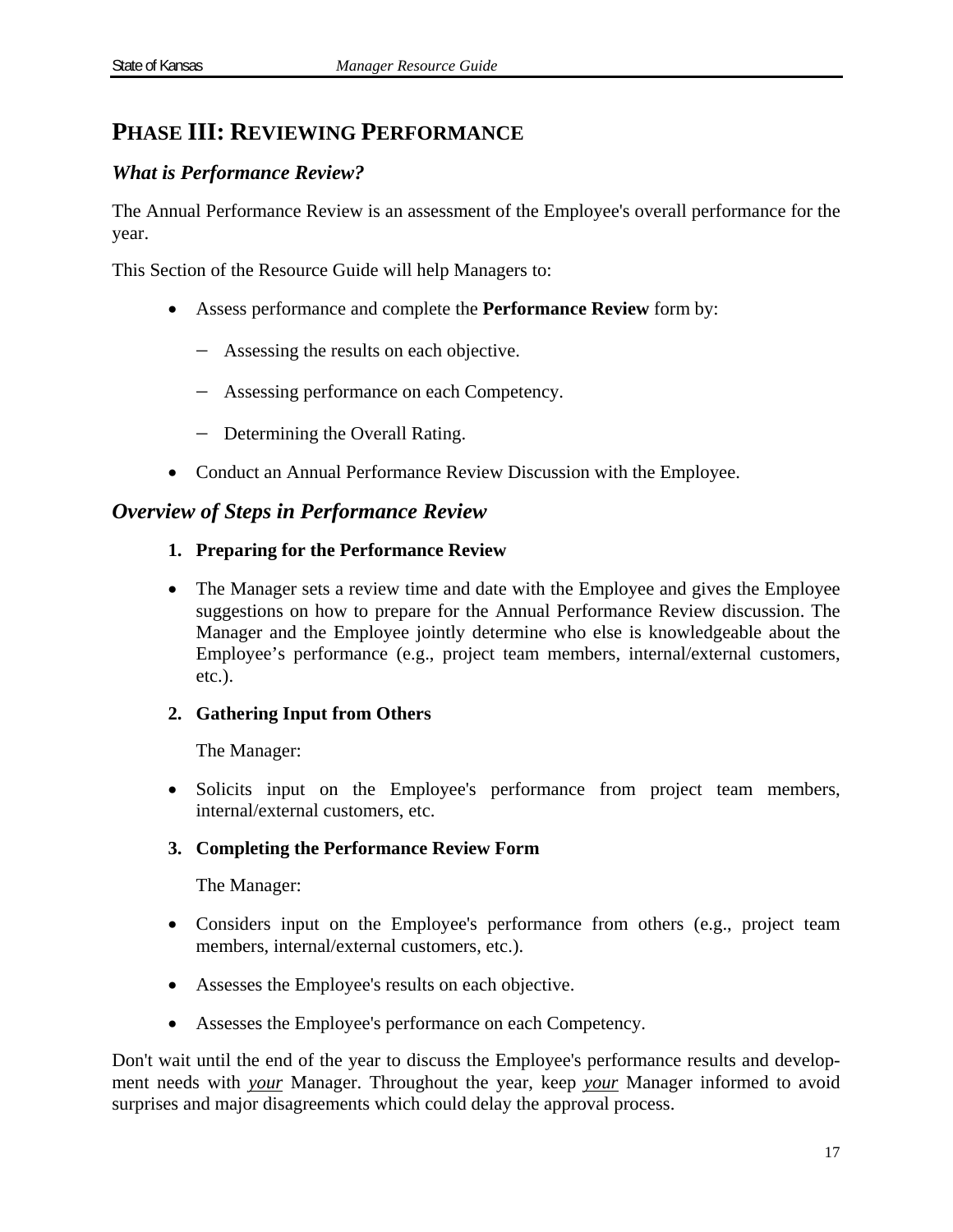# **PHASE III: REVIEWING PERFORMANCE**

### *What is Performance Review?*

The Annual Performance Review is an assessment of the Employee's overall performance for the year.

This Section of the Resource Guide will help Managers to:

- Assess performance and complete the **Performance Review** form by:
	- Assessing the results on each objective.
	- Assessing performance on each Competency.
	- Determining the Overall Rating.
- Conduct an Annual Performance Review Discussion with the Employee.

### *Overview of Steps in Performance Review*

### **1. Preparing for the Performance Review**

• The Manager sets a review time and date with the Employee and gives the Employee suggestions on how to prepare for the Annual Performance Review discussion. The Manager and the Employee jointly determine who else is knowledgeable about the Employee's performance (e.g., project team members, internal/external customers, etc.).

### **2. Gathering Input from Others**

The Manager:

 Solicits input on the Employee's performance from project team members, internal/external customers, etc.

### **3. Completing the Performance Review Form**

The Manager:

- Considers input on the Employee's performance from others (e.g., project team members, internal/external customers, etc.).
- Assesses the Employee's results on each objective.
- Assesses the Employee's performance on each Competency.

Don't wait until the end of the year to discuss the Employee's performance results and development needs with *your* Manager. Throughout the year, keep *your* Manager informed to avoid surprises and major disagreements which could delay the approval process.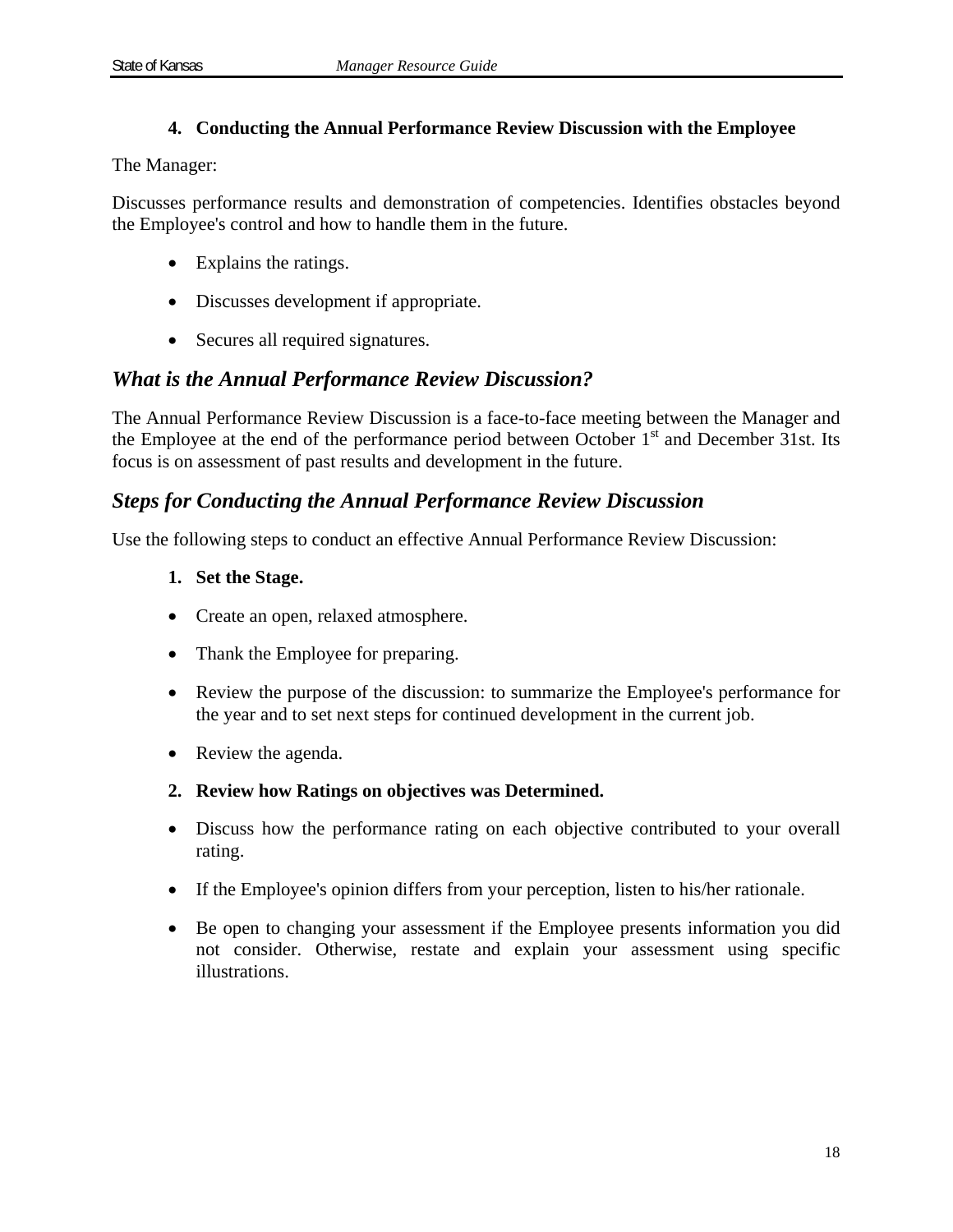### **4. Conducting the Annual Performance Review Discussion with the Employee**

The Manager:

Discusses performance results and demonstration of competencies. Identifies obstacles beyond the Employee's control and how to handle them in the future.

- Explains the ratings.
- Discusses development if appropriate.
- Secures all required signatures.

### *What is the Annual Performance Review Discussion?*

The Annual Performance Review Discussion is a face-to-face meeting between the Manager and the Employee at the end of the performance period between October  $1<sup>st</sup>$  and December 31st. Its focus is on assessment of past results and development in the future.

### *Steps for Conducting the Annual Performance Review Discussion*

Use the following steps to conduct an effective Annual Performance Review Discussion:

- **1. Set the Stage.**
- Create an open, relaxed atmosphere.
- Thank the Employee for preparing.
- Review the purpose of the discussion: to summarize the Employee's performance for the year and to set next steps for continued development in the current job.
- Review the agenda.
- **2. Review how Ratings on objectives was Determined.**
- Discuss how the performance rating on each objective contributed to your overall rating.
- If the Employee's opinion differs from your perception, listen to his/her rationale.
- Be open to changing your assessment if the Employee presents information you did not consider. Otherwise, restate and explain your assessment using specific illustrations.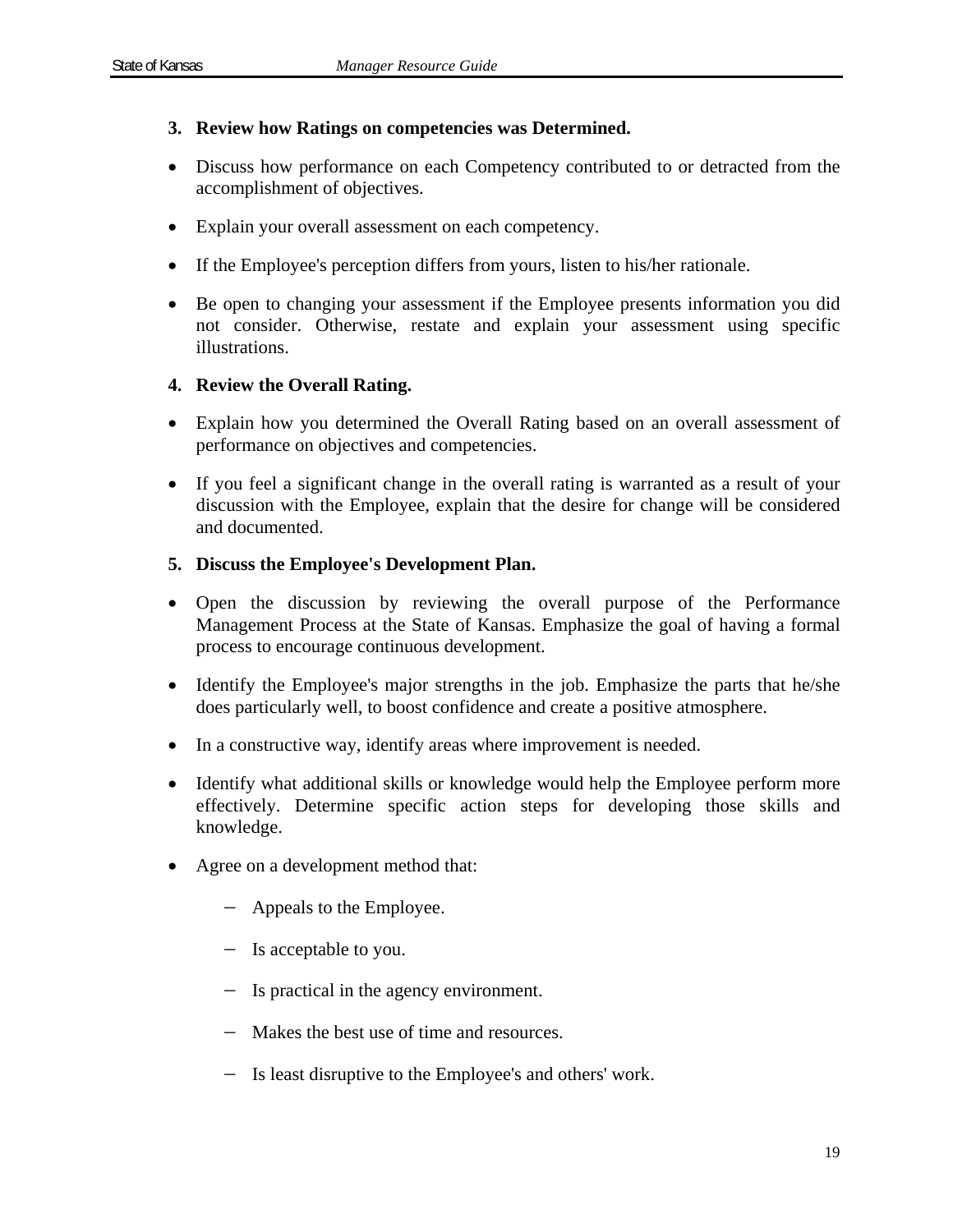### **3. Review how Ratings on competencies was Determined.**

- Discuss how performance on each Competency contributed to or detracted from the accomplishment of objectives.
- Explain your overall assessment on each competency.
- If the Employee's perception differs from yours, listen to his/her rationale.
- Be open to changing your assessment if the Employee presents information you did not consider. Otherwise, restate and explain your assessment using specific illustrations.

### **4. Review the Overall Rating.**

- Explain how you determined the Overall Rating based on an overall assessment of performance on objectives and competencies.
- If you feel a significant change in the overall rating is warranted as a result of your discussion with the Employee, explain that the desire for change will be considered and documented.

### **5. Discuss the Employee's Development Plan.**

- Open the discussion by reviewing the overall purpose of the Performance Management Process at the State of Kansas. Emphasize the goal of having a formal process to encourage continuous development.
- Identify the Employee's major strengths in the job. Emphasize the parts that he/she does particularly well, to boost confidence and create a positive atmosphere.
- In a constructive way, identify areas where improvement is needed.
- Identify what additional skills or knowledge would help the Employee perform more effectively. Determine specific action steps for developing those skills and knowledge.
- Agree on a development method that:
	- Appeals to the Employee.
	- Is acceptable to you.
	- Is practical in the agency environment.
	- Makes the best use of time and resources.
	- Is least disruptive to the Employee's and others' work.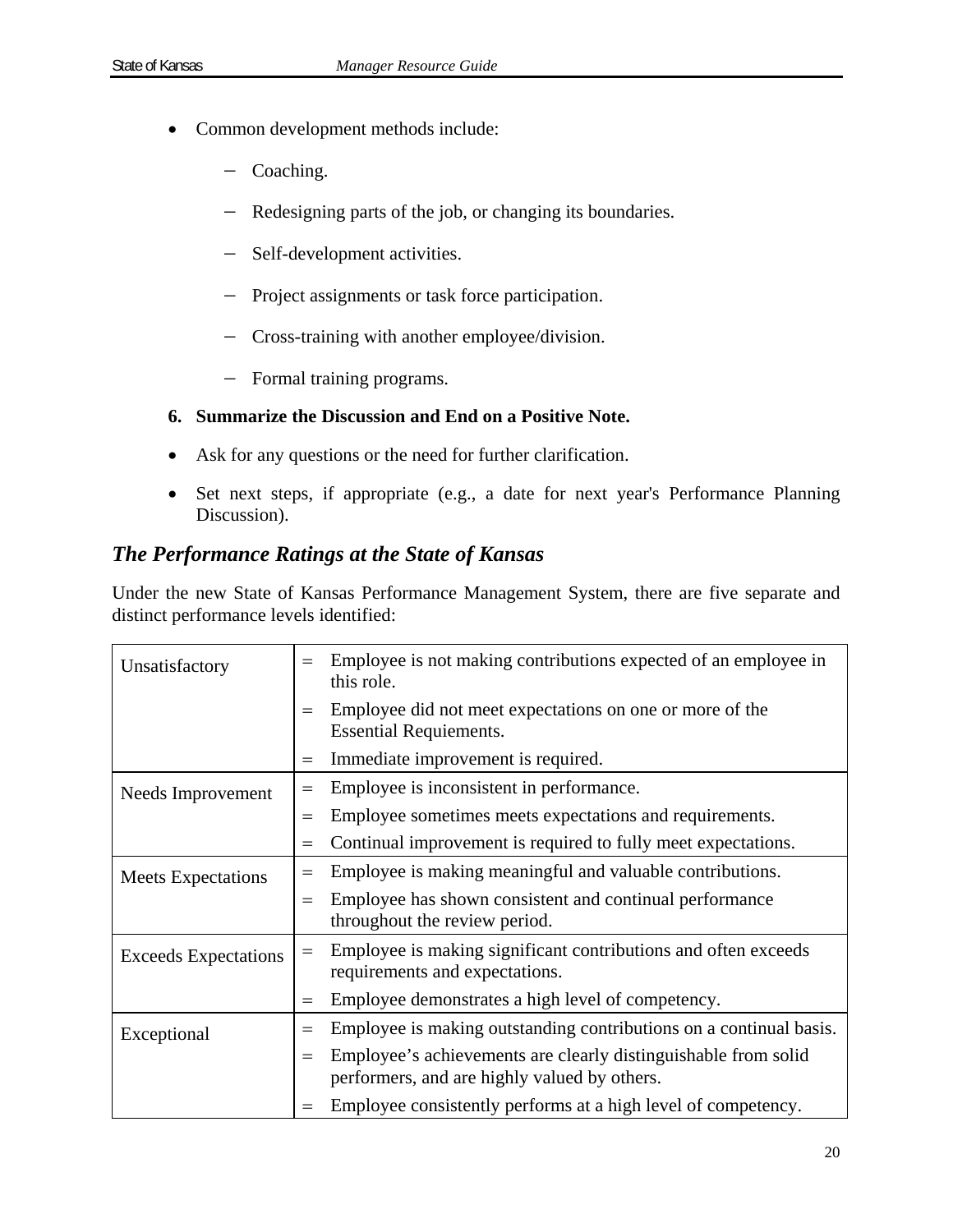- Common development methods include:
	- Coaching.
	- Redesigning parts of the job, or changing its boundaries.
	- Self-development activities.
	- Project assignments or task force participation.
	- Cross-training with another employee/division.
	- Formal training programs.

### **6. Summarize the Discussion and End on a Positive Note.**

- Ask for any questions or the need for further clarification.
- Set next steps, if appropriate (e.g., a date for next year's Performance Planning Discussion).

### *The Performance Ratings at the State of Kansas*

Under the new State of Kansas Performance Management System, there are five separate and distinct performance levels identified:

| Unsatisfactory              | $=$ | Employee is not making contributions expected of an employee in<br>this role.                                  |
|-----------------------------|-----|----------------------------------------------------------------------------------------------------------------|
|                             | $=$ | Employee did not meet expectations on one or more of the<br><b>Essential Requiements.</b>                      |
|                             | $=$ | Immediate improvement is required.                                                                             |
| Needs Improvement           | $=$ | Employee is inconsistent in performance.                                                                       |
|                             | $=$ | Employee sometimes meets expectations and requirements.                                                        |
|                             | $=$ | Continual improvement is required to fully meet expectations.                                                  |
| <b>Meets</b> Expectations   | $=$ | Employee is making meaningful and valuable contributions.                                                      |
|                             | $=$ | Employee has shown consistent and continual performance<br>throughout the review period.                       |
| <b>Exceeds Expectations</b> | $=$ | Employee is making significant contributions and often exceeds<br>requirements and expectations.               |
|                             | $=$ | Employee demonstrates a high level of competency.                                                              |
| Exceptional                 | $=$ | Employee is making outstanding contributions on a continual basis.                                             |
|                             | $=$ | Employee's achievements are clearly distinguishable from solid<br>performers, and are highly valued by others. |
|                             | $=$ | Employee consistently performs at a high level of competency.                                                  |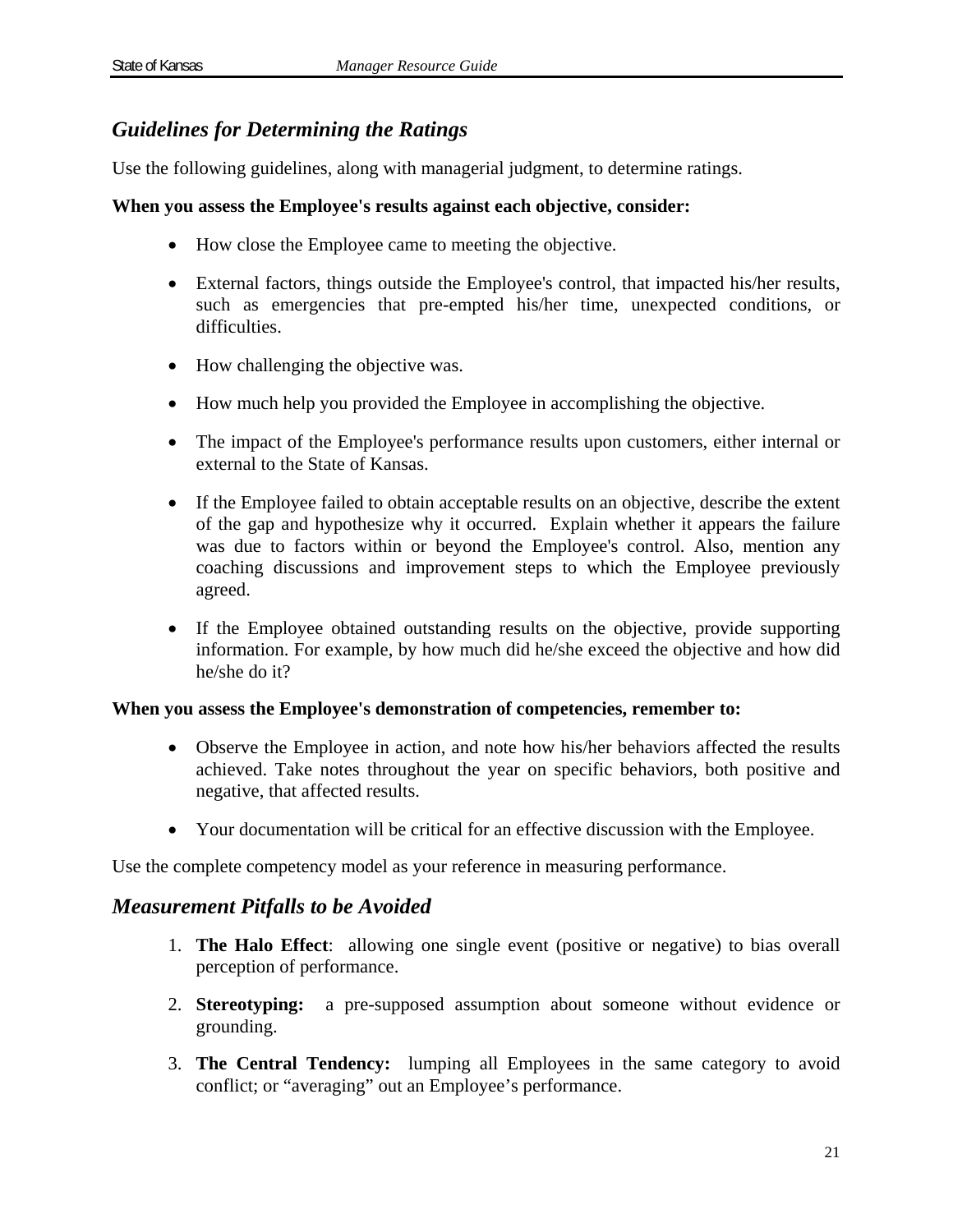# *Guidelines for Determining the Ratings*

Use the following guidelines, along with managerial judgment, to determine ratings.

### **When you assess the Employee's results against each objective, consider:**

- How close the Employee came to meeting the objective.
- External factors, things outside the Employee's control, that impacted his/her results, such as emergencies that pre-empted his/her time, unexpected conditions, or difficulties.
- How challenging the objective was.
- How much help you provided the Employee in accomplishing the objective.
- The impact of the Employee's performance results upon customers, either internal or external to the State of Kansas.
- If the Employee failed to obtain acceptable results on an objective, describe the extent of the gap and hypothesize why it occurred. Explain whether it appears the failure was due to factors within or beyond the Employee's control. Also, mention any coaching discussions and improvement steps to which the Employee previously agreed.
- If the Employee obtained outstanding results on the objective, provide supporting information. For example, by how much did he/she exceed the objective and how did he/she do it?

### **When you assess the Employee's demonstration of competencies, remember to:**

- Observe the Employee in action, and note how his/her behaviors affected the results achieved. Take notes throughout the year on specific behaviors, both positive and negative, that affected results.
- Your documentation will be critical for an effective discussion with the Employee.

Use the complete competency model as your reference in measuring performance.

### *Measurement Pitfalls to be Avoided*

- 1. **The Halo Effect**: allowing one single event (positive or negative) to bias overall perception of performance.
- 2. **Stereotyping:** a pre-supposed assumption about someone without evidence or grounding.
- 3. **The Central Tendency:** lumping all Employees in the same category to avoid conflict; or "averaging" out an Employee's performance.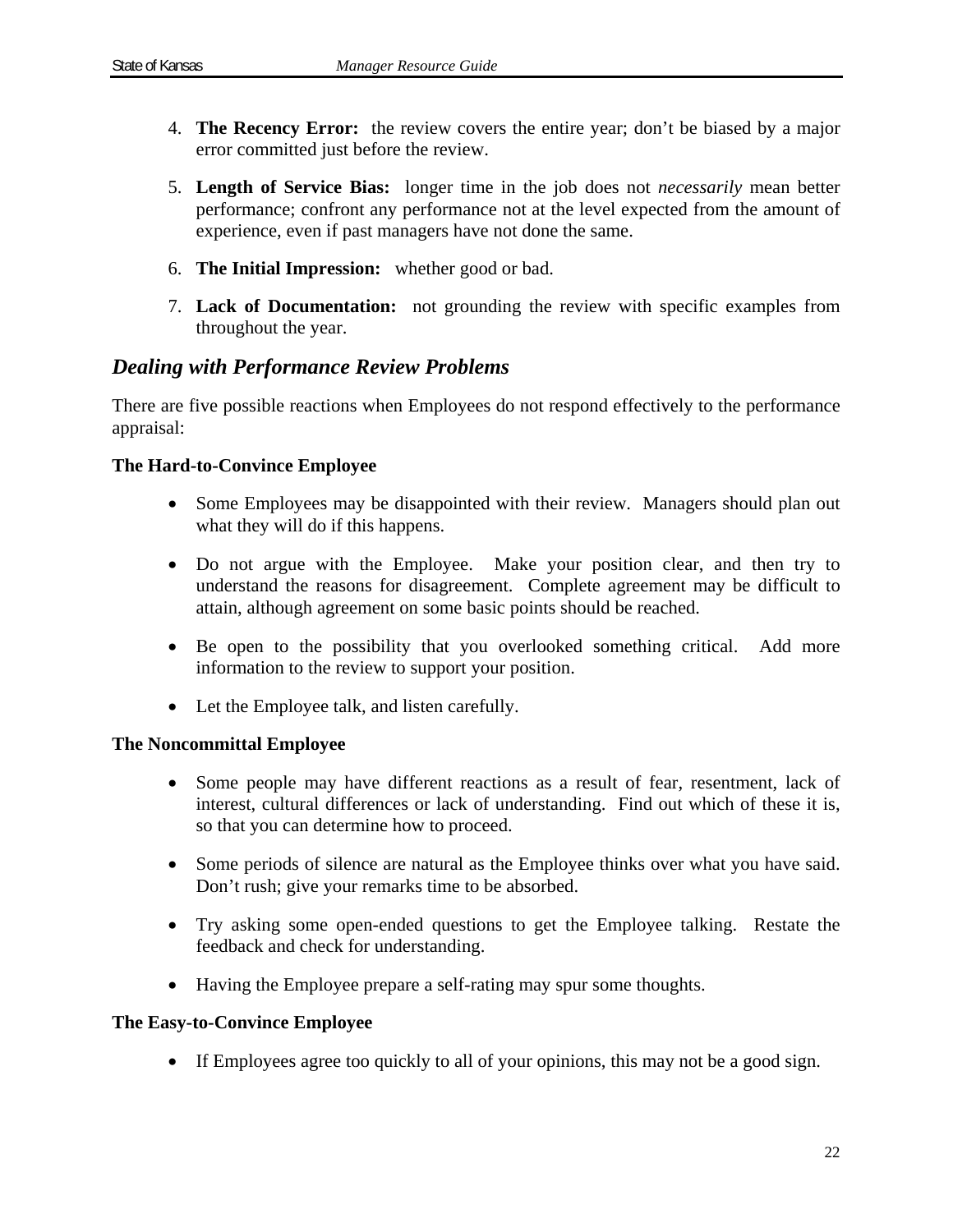- 4. **The Recency Error:** the review covers the entire year; don't be biased by a major error committed just before the review.
- 5. **Length of Service Bias:** longer time in the job does not *necessarily* mean better performance; confront any performance not at the level expected from the amount of experience, even if past managers have not done the same.
- 6. **The Initial Impression:** whether good or bad.
- 7. **Lack of Documentation:** not grounding the review with specific examples from throughout the year.

# *Dealing with Performance Review Problems*

There are five possible reactions when Employees do not respond effectively to the performance appraisal:

### **The Hard-to-Convince Employee**

- Some Employees may be disappointed with their review. Managers should plan out what they will do if this happens.
- Do not argue with the Employee. Make your position clear, and then try to understand the reasons for disagreement. Complete agreement may be difficult to attain, although agreement on some basic points should be reached.
- Be open to the possibility that you overlooked something critical. Add more information to the review to support your position.
- Let the Employee talk, and listen carefully.

### **The Noncommittal Employee**

- Some people may have different reactions as a result of fear, resentment, lack of interest, cultural differences or lack of understanding. Find out which of these it is, so that you can determine how to proceed.
- Some periods of silence are natural as the Employee thinks over what you have said. Don't rush; give your remarks time to be absorbed.
- Try asking some open-ended questions to get the Employee talking. Restate the feedback and check for understanding.
- Having the Employee prepare a self-rating may spur some thoughts.

### **The Easy-to-Convince Employee**

If Employees agree too quickly to all of your opinions, this may not be a good sign.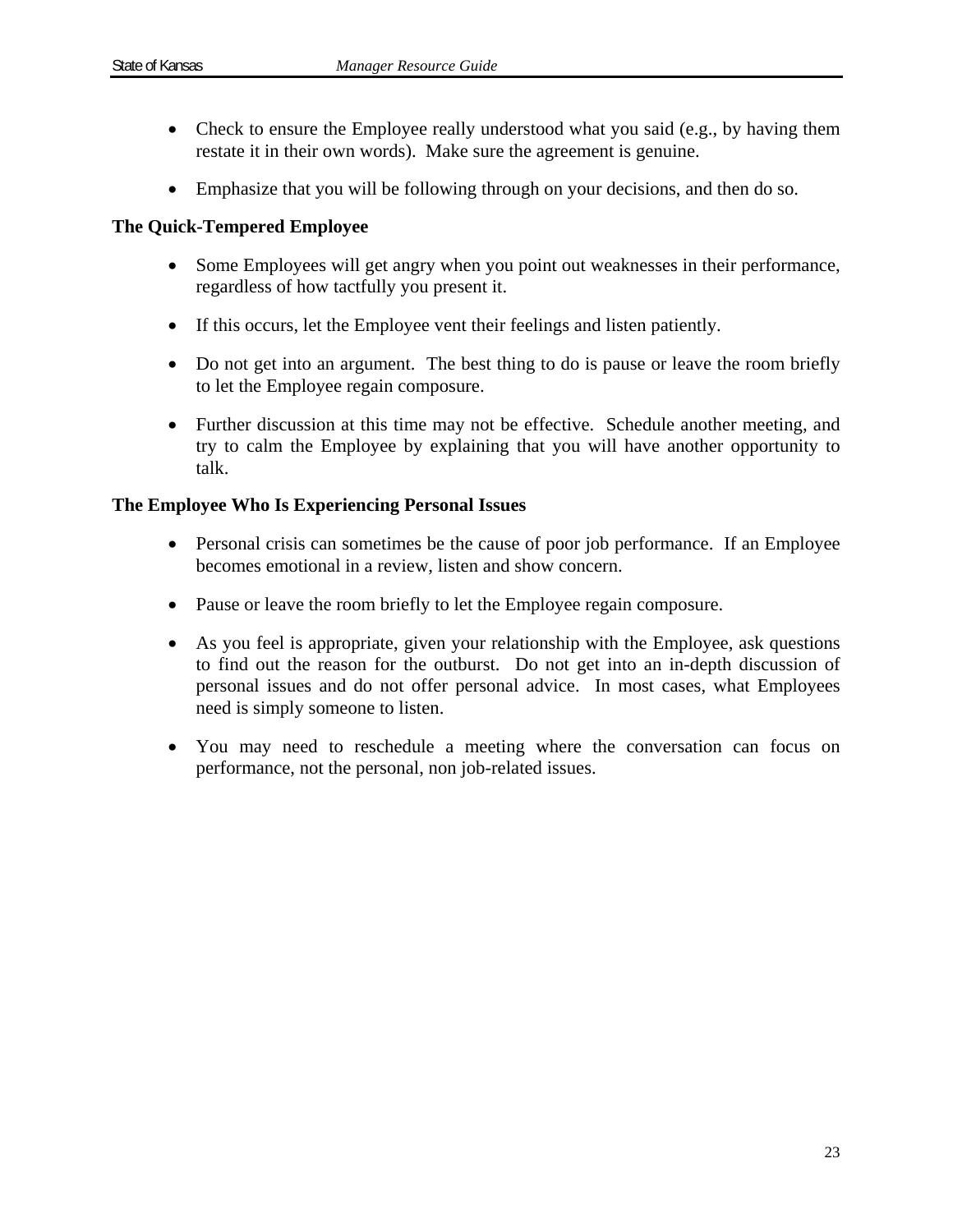- Check to ensure the Employee really understood what you said (e.g., by having them restate it in their own words). Make sure the agreement is genuine.
- Emphasize that you will be following through on your decisions, and then do so.

### **The Quick-Tempered Employee**

- Some Employees will get angry when you point out weaknesses in their performance, regardless of how tactfully you present it.
- If this occurs, let the Employee vent their feelings and listen patiently.
- Do not get into an argument. The best thing to do is pause or leave the room briefly to let the Employee regain composure.
- Further discussion at this time may not be effective. Schedule another meeting, and try to calm the Employee by explaining that you will have another opportunity to talk.

### **The Employee Who Is Experiencing Personal Issues**

- Personal crisis can sometimes be the cause of poor job performance. If an Employee becomes emotional in a review, listen and show concern.
- Pause or leave the room briefly to let the Employee regain composure.
- As you feel is appropriate, given your relationship with the Employee, ask questions to find out the reason for the outburst. Do not get into an in-depth discussion of personal issues and do not offer personal advice. In most cases, what Employees need is simply someone to listen.
- You may need to reschedule a meeting where the conversation can focus on performance, not the personal, non job-related issues.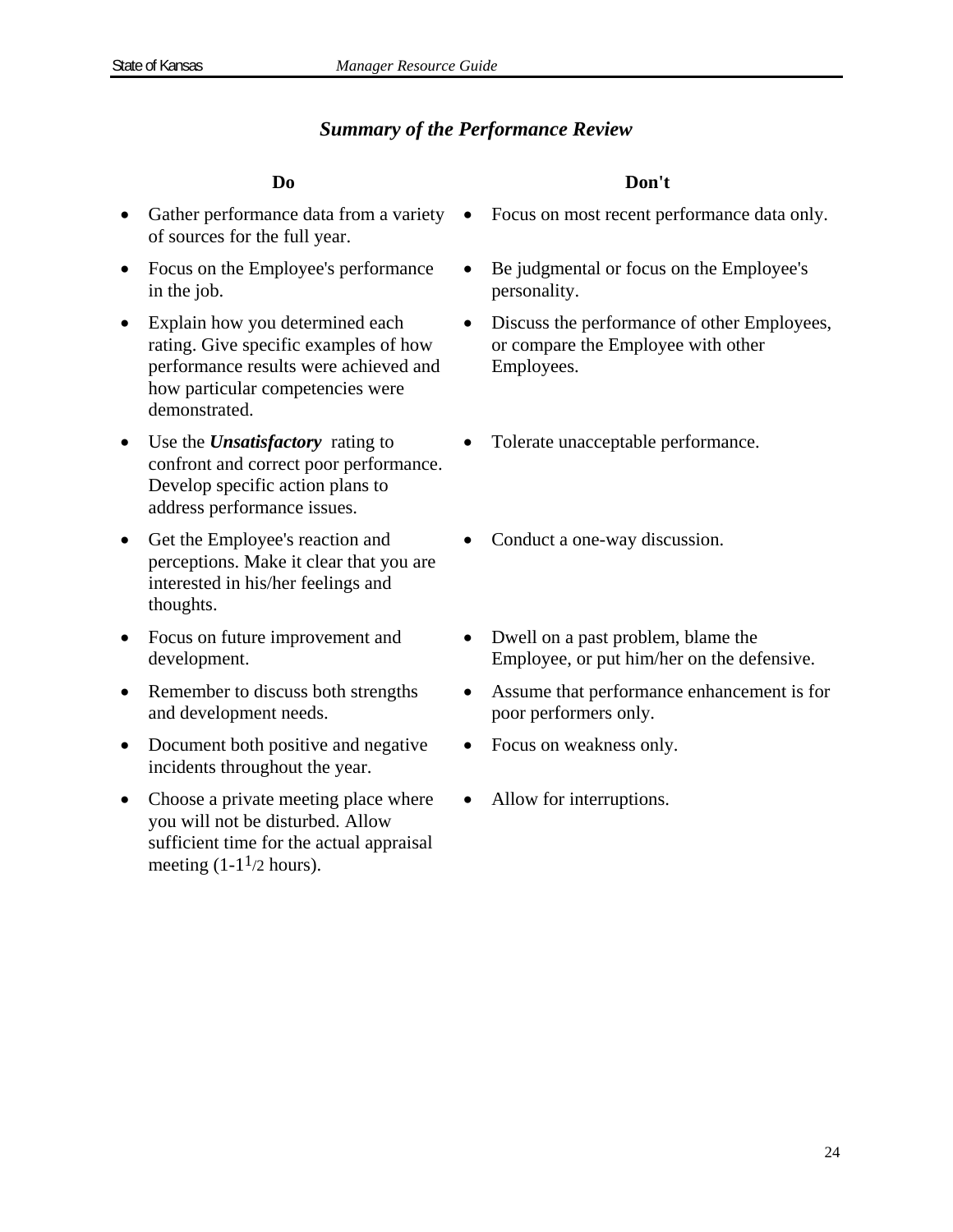### *Summary of the Performance Review*

- Gather performance data from a variety of sources for the full year.
- Focus on the Employee's performance in the job.
- Explain how you determined each rating. Give specific examples of how performance results were achieved and how particular competencies were demonstrated.
- Use the *Unsatisfactory* rating to confront and correct poor performance. Develop specific action plans to address performance issues.
- Get the Employee's reaction and perceptions. Make it clear that you are interested in his/her feelings and thoughts.
- Focus on future improvement and development.
- Remember to discuss both strengths and development needs.
- Document both positive and negative incidents throughout the year.
- Choose a private meeting place where you will not be disturbed. Allow sufficient time for the actual appraisal meeting  $(1-1<sup>1</sup>/2$  hours).

### **Do Don't**

- Focus on most recent performance data only.
- Be judgmental or focus on the Employee's personality.
- Discuss the performance of other Employees, or compare the Employee with other Employees.
- Tolerate unacceptable performance.
- Conduct a one-way discussion.
- Dwell on a past problem, blame the Employee, or put him/her on the defensive.
- Assume that performance enhancement is for poor performers only.
- Focus on weakness only.
- Allow for interruptions.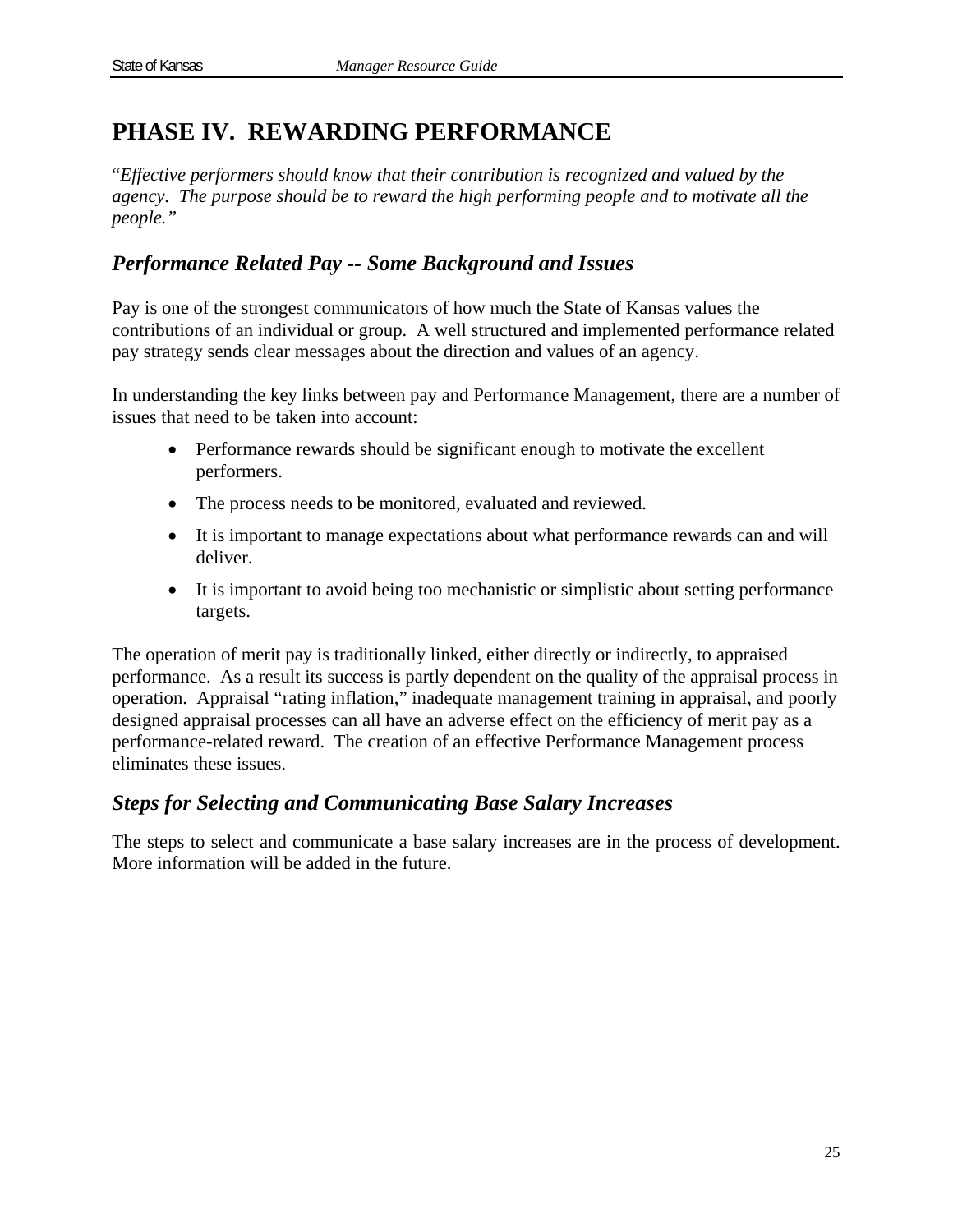# **PHASE IV. REWARDING PERFORMANCE**

"*Effective performers should know that their contribution is recognized and valued by the agency. The purpose should be to reward the high performing people and to motivate all the people."* 

# *Performance Related Pay -- Some Background and Issues*

Pay is one of the strongest communicators of how much the State of Kansas values the contributions of an individual or group. A well structured and implemented performance related pay strategy sends clear messages about the direction and values of an agency.

In understanding the key links between pay and Performance Management, there are a number of issues that need to be taken into account:

- Performance rewards should be significant enough to motivate the excellent performers.
- The process needs to be monitored, evaluated and reviewed.
- It is important to manage expectations about what performance rewards can and will deliver.
- It is important to avoid being too mechanistic or simplistic about setting performance targets.

The operation of merit pay is traditionally linked, either directly or indirectly, to appraised performance. As a result its success is partly dependent on the quality of the appraisal process in operation. Appraisal "rating inflation," inadequate management training in appraisal, and poorly designed appraisal processes can all have an adverse effect on the efficiency of merit pay as a performance-related reward. The creation of an effective Performance Management process eliminates these issues.

# *Steps for Selecting and Communicating Base Salary Increases*

The steps to select and communicate a base salary increases are in the process of development. More information will be added in the future.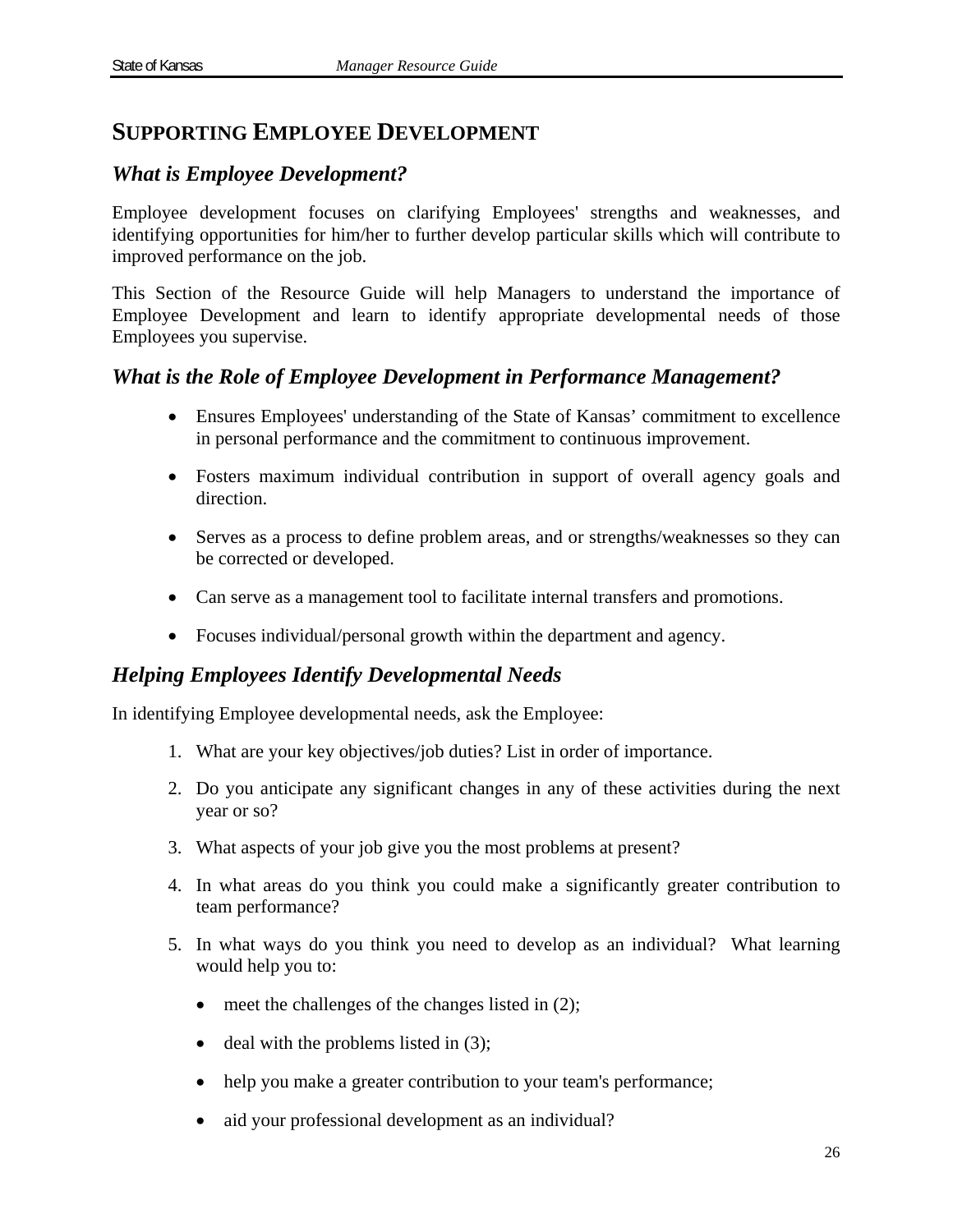# **SUPPORTING EMPLOYEE DEVELOPMENT**

### *What is Employee Development?*

Employee development focuses on clarifying Employees' strengths and weaknesses, and identifying opportunities for him/her to further develop particular skills which will contribute to improved performance on the job.

This Section of the Resource Guide will help Managers to understand the importance of Employee Development and learn to identify appropriate developmental needs of those Employees you supervise.

### *What is the Role of Employee Development in Performance Management?*

- Ensures Employees' understanding of the State of Kansas' commitment to excellence in personal performance and the commitment to continuous improvement.
- Fosters maximum individual contribution in support of overall agency goals and direction.
- Serves as a process to define problem areas, and or strengths/weaknesses so they can be corrected or developed.
- Can serve as a management tool to facilitate internal transfers and promotions.
- Focuses individual/personal growth within the department and agency.

# *Helping Employees Identify Developmental Needs*

In identifying Employee developmental needs, ask the Employee:

- 1. What are your key objectives/job duties? List in order of importance.
- 2. Do you anticipate any significant changes in any of these activities during the next year or so?
- 3. What aspects of your job give you the most problems at present?
- 4. In what areas do you think you could make a significantly greater contribution to team performance?
- 5. In what ways do you think you need to develop as an individual? What learning would help you to:
	- $\bullet$  meet the challenges of the changes listed in (2);
	- $\bullet$  deal with the problems listed in (3);
	- help you make a greater contribution to your team's performance;
	- aid your professional development as an individual?